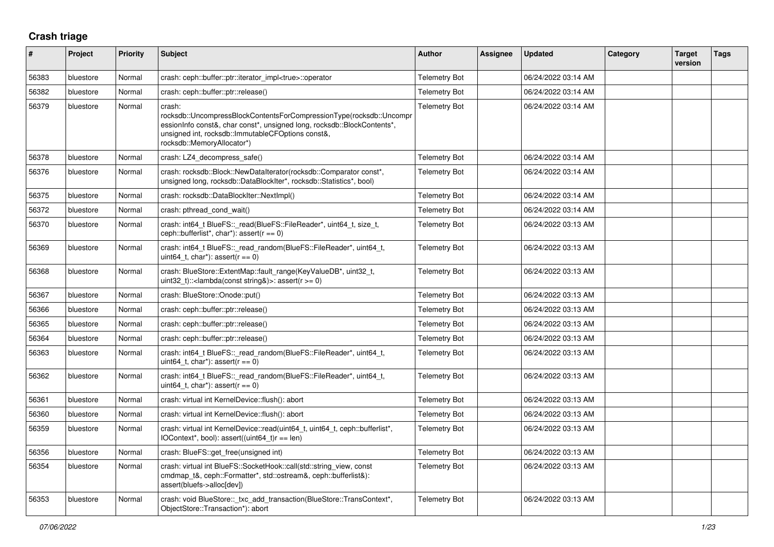## **Crash triage**

| $\#$  | Project   | <b>Priority</b> | <b>Subject</b>                                                                                                                                                                                                                              | <b>Author</b>        | Assignee | <b>Updated</b>      | Category | <b>Target</b><br>version | <b>Tags</b> |
|-------|-----------|-----------------|---------------------------------------------------------------------------------------------------------------------------------------------------------------------------------------------------------------------------------------------|----------------------|----------|---------------------|----------|--------------------------|-------------|
| 56383 | bluestore | Normal          | crash: ceph::buffer::ptr::iterator_impl <true>::operator</true>                                                                                                                                                                             | <b>Telemetry Bot</b> |          | 06/24/2022 03:14 AM |          |                          |             |
| 56382 | bluestore | Normal          | crash: ceph::buffer::ptr::release()                                                                                                                                                                                                         | <b>Telemetry Bot</b> |          | 06/24/2022 03:14 AM |          |                          |             |
| 56379 | bluestore | Normal          | crash:<br>rocksdb::UncompressBlockContentsForCompressionType(rocksdb::Uncompr<br>essionInfo const&, char const*, unsigned long, rocksdb::BlockContents*,<br>unsigned int, rocksdb::ImmutableCFOptions const&,<br>rocksdb::MemoryAllocator*) | <b>Telemetry Bot</b> |          | 06/24/2022 03:14 AM |          |                          |             |
| 56378 | bluestore | Normal          | crash: LZ4_decompress_safe()                                                                                                                                                                                                                | <b>Telemetry Bot</b> |          | 06/24/2022 03:14 AM |          |                          |             |
| 56376 | bluestore | Normal          | crash: rocksdb::Block::NewDataIterator(rocksdb::Comparator const*,<br>unsigned long, rocksdb::DataBlockIter*, rocksdb::Statistics*, bool)                                                                                                   | <b>Telemetry Bot</b> |          | 06/24/2022 03:14 AM |          |                          |             |
| 56375 | bluestore | Normal          | crash: rocksdb::DataBlockIter::NextImpl()                                                                                                                                                                                                   | <b>Telemetry Bot</b> |          | 06/24/2022 03:14 AM |          |                          |             |
| 56372 | bluestore | Normal          | crash: pthread_cond_wait()                                                                                                                                                                                                                  | <b>Telemetry Bot</b> |          | 06/24/2022 03:14 AM |          |                          |             |
| 56370 | bluestore | Normal          | crash: int64_t BlueFS::_read(BlueFS::FileReader*, uint64_t, size_t,<br>ceph::bufferlist*, char*): assert( $r == 0$ )                                                                                                                        | <b>Telemetry Bot</b> |          | 06/24/2022 03:13 AM |          |                          |             |
| 56369 | bluestore | Normal          | crash: int64_t BlueFS::_read_random(BlueFS::FileReader*, uint64_t,<br>uint64 t, char*): assert( $r == 0$ )                                                                                                                                  | <b>Telemetry Bot</b> |          | 06/24/2022 03:13 AM |          |                          |             |
| 56368 | bluestore | Normal          | crash: BlueStore::ExtentMap::fault_range(KeyValueDB*, uint32_t,<br>uint32 t):: < lambda(const string&) >: assert( $r$ >= 0)                                                                                                                 | <b>Telemetry Bot</b> |          | 06/24/2022 03:13 AM |          |                          |             |
| 56367 | bluestore | Normal          | crash: BlueStore::Onode::put()                                                                                                                                                                                                              | <b>Telemetry Bot</b> |          | 06/24/2022 03:13 AM |          |                          |             |
| 56366 | bluestore | Normal          | crash: ceph::buffer::ptr::release()                                                                                                                                                                                                         | <b>Telemetry Bot</b> |          | 06/24/2022 03:13 AM |          |                          |             |
| 56365 | bluestore | Normal          | crash: ceph::buffer::ptr::release()                                                                                                                                                                                                         | <b>Telemetry Bot</b> |          | 06/24/2022 03:13 AM |          |                          |             |
| 56364 | bluestore | Normal          | crash: ceph::buffer::ptr::release()                                                                                                                                                                                                         | <b>Telemetry Bot</b> |          | 06/24/2022 03:13 AM |          |                          |             |
| 56363 | bluestore | Normal          | crash: int64_t BlueFS::_read_random(BlueFS::FileReader*, uint64_t,<br>uint64 t, char*): assert( $r == 0$ )                                                                                                                                  | <b>Telemetry Bot</b> |          | 06/24/2022 03:13 AM |          |                          |             |
| 56362 | bluestore | Normal          | crash: int64_t BlueFS::_read_random(BlueFS::FileReader*, uint64_t,<br>uint64 t, char*): assert( $r == 0$ )                                                                                                                                  | <b>Telemetry Bot</b> |          | 06/24/2022 03:13 AM |          |                          |             |
| 56361 | bluestore | Normal          | crash: virtual int KernelDevice::flush(): abort                                                                                                                                                                                             | <b>Telemetry Bot</b> |          | 06/24/2022 03:13 AM |          |                          |             |
| 56360 | bluestore | Normal          | crash: virtual int KernelDevice::flush(): abort                                                                                                                                                                                             | <b>Telemetry Bot</b> |          | 06/24/2022 03:13 AM |          |                          |             |
| 56359 | bluestore | Normal          | crash: virtual int KernelDevice::read(uint64_t, uint64_t, ceph::bufferlist*,<br>IOContext*, bool): assert((uint64_t)r == len)                                                                                                               | <b>Telemetry Bot</b> |          | 06/24/2022 03:13 AM |          |                          |             |
| 56356 | bluestore | Normal          | crash: BlueFS::get_free(unsigned int)                                                                                                                                                                                                       | <b>Telemetry Bot</b> |          | 06/24/2022 03:13 AM |          |                          |             |
| 56354 | bluestore | Normal          | crash: virtual int BlueFS::SocketHook::call(std::string_view, const<br>cmdmap t&, ceph::Formatter*, std::ostream&, ceph::bufferlist&):<br>assert(bluefs->alloc[dev])                                                                        | <b>Telemetry Bot</b> |          | 06/24/2022 03:13 AM |          |                          |             |
| 56353 | bluestore | Normal          | crash: void BlueStore:: txc add transaction(BlueStore::TransContext*,<br>ObjectStore::Transaction*): abort                                                                                                                                  | <b>Telemetry Bot</b> |          | 06/24/2022 03:13 AM |          |                          |             |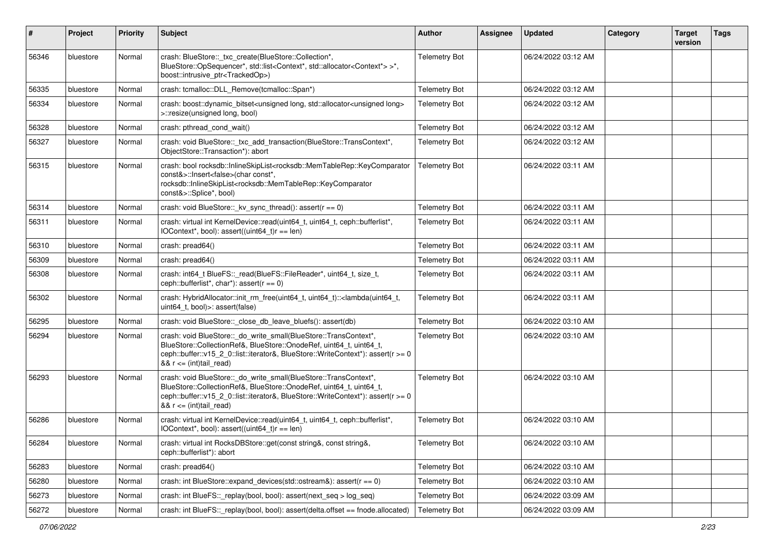| $\vert$ # | Project   | <b>Priority</b> | <b>Subject</b>                                                                                                                                                                                                                                                                                                     | Author               | <b>Assignee</b> | <b>Updated</b>      | Category | <b>Target</b><br>version | <b>Tags</b> |
|-----------|-----------|-----------------|--------------------------------------------------------------------------------------------------------------------------------------------------------------------------------------------------------------------------------------------------------------------------------------------------------------------|----------------------|-----------------|---------------------|----------|--------------------------|-------------|
| 56346     | bluestore | Normal          | crash: BlueStore::_txc_create(BlueStore::Collection*,<br>BlueStore::OpSequencer*, std::list <context*, std::allocator<context*=""> &gt;*,<br/>boost::intrusive_ptr<trackedop>)</trackedop></context*,>                                                                                                             | <b>Telemetry Bot</b> |                 | 06/24/2022 03:12 AM |          |                          |             |
| 56335     | bluestore | Normal          | crash: tcmalloc::DLL_Remove(tcmalloc::Span*)                                                                                                                                                                                                                                                                       | <b>Telemetry Bot</b> |                 | 06/24/2022 03:12 AM |          |                          |             |
| 56334     | bluestore | Normal          | crash: boost::dynamic_bitset <unsigned long="" long,="" std::allocator<unsigned=""><br/>&gt;::resize(unsigned long, bool)</unsigned>                                                                                                                                                                               | <b>Telemetry Bot</b> |                 | 06/24/2022 03:12 AM |          |                          |             |
| 56328     | bluestore | Normal          | crash: pthread cond wait()                                                                                                                                                                                                                                                                                         | <b>Telemetry Bot</b> |                 | 06/24/2022 03:12 AM |          |                          |             |
| 56327     | bluestore | Normal          | crash: void BlueStore::_txc_add_transaction(BlueStore::TransContext*,<br>ObjectStore::Transaction*): abort                                                                                                                                                                                                         | <b>Telemetry Bot</b> |                 | 06/24/2022 03:12 AM |          |                          |             |
| 56315     | bluestore | Normal          | crash: bool rocksdb::InlineSkipList <rocksdb::memtablerep::keycomparator<br>const&amp;&gt;::lnsert<false>(char const*,<br/>rocksdb::InlineSkipList<rocksdb::memtablerep::keycomparator<br>const&amp;&gt;::Splice*, bool)</rocksdb::memtablerep::keycomparator<br></false></rocksdb::memtablerep::keycomparator<br> | <b>Telemetry Bot</b> |                 | 06/24/2022 03:11 AM |          |                          |             |
| 56314     | bluestore | Normal          | crash: void BlueStore::_kv_sync_thread(): assert(r == 0)                                                                                                                                                                                                                                                           | <b>Telemetry Bot</b> |                 | 06/24/2022 03:11 AM |          |                          |             |
| 56311     | bluestore | Normal          | crash: virtual int KernelDevice::read(uint64_t, uint64_t, ceph::bufferlist*,<br>$IOContext*, bool): assert((uint64_t)r == len)$                                                                                                                                                                                    | <b>Telemetry Bot</b> |                 | 06/24/2022 03:11 AM |          |                          |             |
| 56310     | bluestore | Normal          | crash: pread64()                                                                                                                                                                                                                                                                                                   | <b>Telemetry Bot</b> |                 | 06/24/2022 03:11 AM |          |                          |             |
| 56309     | bluestore | Normal          | crash: pread64()                                                                                                                                                                                                                                                                                                   | <b>Telemetry Bot</b> |                 | 06/24/2022 03:11 AM |          |                          |             |
| 56308     | bluestore | Normal          | crash: int64_t BlueFS::_read(BlueFS::FileReader*, uint64_t, size_t,<br>ceph::bufferlist*, char*): assert( $r == 0$ )                                                                                                                                                                                               | <b>Telemetry Bot</b> |                 | 06/24/2022 03:11 AM |          |                          |             |
| 56302     | bluestore | Normal          | crash: HybridAllocator::init_rm_free(uint64_t, uint64_t):: <lambda(uint64_t,<br>uint64 t, bool)&gt;: assert(false)</lambda(uint64_t,<br>                                                                                                                                                                           | <b>Telemetry Bot</b> |                 | 06/24/2022 03:11 AM |          |                          |             |
| 56295     | bluestore | Normal          | crash: void BlueStore:: close_db_leave_bluefs(): assert(db)                                                                                                                                                                                                                                                        | <b>Telemetry Bot</b> |                 | 06/24/2022 03:10 AM |          |                          |             |
| 56294     | bluestore | Normal          | crash: void BlueStore::_do_write_small(BlueStore::TransContext*,<br>BlueStore::CollectionRef&, BlueStore::OnodeRef, uint64_t, uint64_t,<br>ceph::buffer::v15_2_0::list::iterator&, BlueStore::WriteContext*): assert(r >= 0<br>$88 r \leq (int) tail\_read$                                                        | <b>Telemetry Bot</b> |                 | 06/24/2022 03:10 AM |          |                          |             |
| 56293     | bluestore | Normal          | crash: void BlueStore::_do_write_small(BlueStore::TransContext*,<br>BlueStore::CollectionRef&, BlueStore::OnodeRef, uint64_t, uint64_t,<br>ceph::buffer::v15_2_0::list::iterator&, BlueStore::WriteContext*): assert(r >= 0<br>$& 8$ r <= (int)tail_read)                                                          | <b>Telemetry Bot</b> |                 | 06/24/2022 03:10 AM |          |                          |             |
| 56286     | bluestore | Normal          | crash: virtual int KernelDevice::read(uint64_t, uint64_t, ceph::bufferlist*,<br>IOContext*, bool): assert((uint64_t)r == len)                                                                                                                                                                                      | <b>Telemetry Bot</b> |                 | 06/24/2022 03:10 AM |          |                          |             |
| 56284     | bluestore | Normal          | crash: virtual int RocksDBStore::get(const string&, const string&,<br>ceph::bufferlist*): abort                                                                                                                                                                                                                    | <b>Telemetry Bot</b> |                 | 06/24/2022 03:10 AM |          |                          |             |
| 56283     | bluestore | Normal          | crash: pread64()                                                                                                                                                                                                                                                                                                   | <b>Telemetry Bot</b> |                 | 06/24/2022 03:10 AM |          |                          |             |
| 56280     | bluestore | Normal          | crash: int BlueStore::expand_devices(std::ostream&): assert( $r == 0$ )                                                                                                                                                                                                                                            | <b>Telemetry Bot</b> |                 | 06/24/2022 03:10 AM |          |                          |             |
| 56273     | bluestore | Normal          | crash: int BlueFS:: replay(bool, bool): assert(next seq > log seq)                                                                                                                                                                                                                                                 | <b>Telemetry Bot</b> |                 | 06/24/2022 03:09 AM |          |                          |             |
| 56272     | bluestore | Normal          | crash: int BlueFS::_replay(bool, bool): assert(delta.offset == fnode.allocated)                                                                                                                                                                                                                                    | <b>Telemetry Bot</b> |                 | 06/24/2022 03:09 AM |          |                          |             |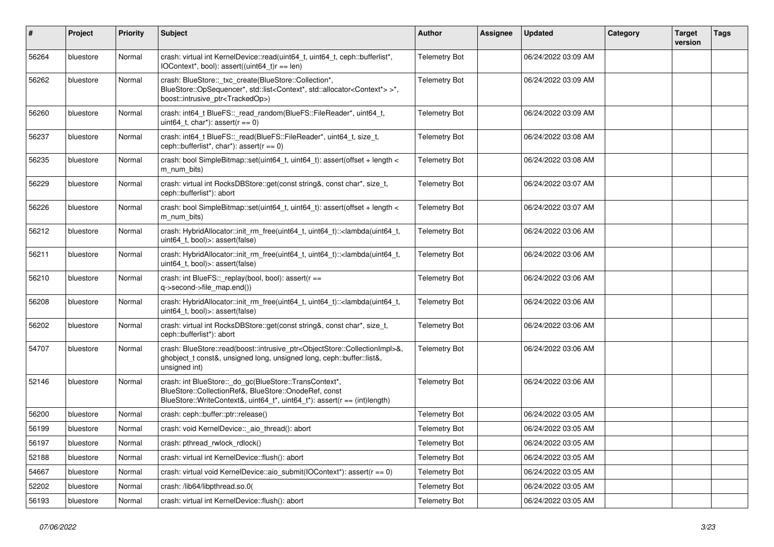| $\sharp$ | Project   | <b>Priority</b> | Subject                                                                                                                                                                                                           | Author               | <b>Assignee</b> | <b>Updated</b>      | Category | <b>Target</b><br>version | <b>Tags</b> |
|----------|-----------|-----------------|-------------------------------------------------------------------------------------------------------------------------------------------------------------------------------------------------------------------|----------------------|-----------------|---------------------|----------|--------------------------|-------------|
| 56264    | bluestore | Normal          | crash: virtual int KernelDevice::read(uint64_t, uint64_t, ceph::bufferlist*,<br>IOContext*, bool): assert((uint64_t)r == len)                                                                                     | <b>Telemetry Bot</b> |                 | 06/24/2022 03:09 AM |          |                          |             |
| 56262    | bluestore | Normal          | crash: BlueStore::_txc_create(BlueStore::Collection*,<br>BlueStore::OpSequencer*, std::list <context*, std::allocator<context*=""> &gt;*,<br/>boost::intrusive_ptr<trackedop>)</trackedop></context*,>            | <b>Telemetry Bot</b> |                 | 06/24/2022 03:09 AM |          |                          |             |
| 56260    | bluestore | Normal          | crash: int64_t BlueFS::_read_random(BlueFS::FileReader*, uint64_t,<br>uint64_t, char*): assert( $r == 0$ )                                                                                                        | <b>Telemetry Bot</b> |                 | 06/24/2022 03:09 AM |          |                          |             |
| 56237    | bluestore | Normal          | crash: int64_t BlueFS::_read(BlueFS::FileReader*, uint64_t, size_t,<br>ceph::bufferlist*, char*): assert( $r == 0$ )                                                                                              | <b>Telemetry Bot</b> |                 | 06/24/2022 03:08 AM |          |                          |             |
| 56235    | bluestore | Normal          | crash: bool SimpleBitmap::set(uint64 t, uint64 t): assert(offset + length <<br>m_num_bits)                                                                                                                        | <b>Telemetry Bot</b> |                 | 06/24/2022 03:08 AM |          |                          |             |
| 56229    | bluestore | Normal          | crash: virtual int RocksDBStore::get(const string&, const char*, size_t,<br>ceph::bufferlist*): abort                                                                                                             | <b>Telemetry Bot</b> |                 | 06/24/2022 03:07 AM |          |                          |             |
| 56226    | bluestore | Normal          | crash: bool SimpleBitmap::set(uint64_t, uint64_t): assert(offset + length <<br>m num bits)                                                                                                                        | <b>Telemetry Bot</b> |                 | 06/24/2022 03:07 AM |          |                          |             |
| 56212    | bluestore | Normal          | crash: HybridAllocator::init_rm_free(uint64_t, uint64_t):: <lambda(uint64_t,<br>uint64 t, bool)&gt;: assert(false)</lambda(uint64_t,<br>                                                                          | <b>Telemetry Bot</b> |                 | 06/24/2022 03:06 AM |          |                          |             |
| 56211    | bluestore | Normal          | crash: HybridAllocator::init_rm_free(uint64_t, uint64_t):: <lambda(uint64_t,<br>uint64_t, bool)&gt;: assert(false)</lambda(uint64_t,<br>                                                                          | <b>Telemetry Bot</b> |                 | 06/24/2022 03:06 AM |          |                          |             |
| 56210    | bluestore | Normal          | crash: int BlueFS::_replay(bool, bool): assert(r ==<br>q->second->file_map.end())                                                                                                                                 | <b>Telemetry Bot</b> |                 | 06/24/2022 03:06 AM |          |                          |             |
| 56208    | bluestore | Normal          | crash: HybridAllocator::init_rm_free(uint64_t, uint64_t):: <lambda(uint64_t,<br>uint64 t, bool)&gt;: assert(false)</lambda(uint64_t,<br>                                                                          | <b>Telemetry Bot</b> |                 | 06/24/2022 03:06 AM |          |                          |             |
| 56202    | bluestore | Normal          | crash: virtual int RocksDBStore::get(const string&, const char*, size_t,<br>ceph::bufferlist*): abort                                                                                                             | <b>Telemetry Bot</b> |                 | 06/24/2022 03:06 AM |          |                          |             |
| 54707    | bluestore | Normal          | crash: BlueStore::read(boost::intrusive_ptr <objectstore::collectionimpl>&amp;,<br/>ghobject_t const&amp;, unsigned long, unsigned long, ceph::buffer::list&amp;,<br/>unsigned int)</objectstore::collectionimpl> | <b>Telemetry Bot</b> |                 | 06/24/2022 03:06 AM |          |                          |             |
| 52146    | bluestore | Normal          | crash: int BlueStore::_do_gc(BlueStore::TransContext*,<br>BlueStore::CollectionRef&, BlueStore::OnodeRef, const<br>BlueStore::WriteContext&, uint64_t*, uint64_t*): assert(r == (int)length)                      | <b>Telemetry Bot</b> |                 | 06/24/2022 03:06 AM |          |                          |             |
| 56200    | bluestore | Normal          | crash: ceph::buffer::ptr::release()                                                                                                                                                                               | <b>Telemetry Bot</b> |                 | 06/24/2022 03:05 AM |          |                          |             |
| 56199    | bluestore | Normal          | crash: void KernelDevice:: aio thread(): abort                                                                                                                                                                    | <b>Telemetry Bot</b> |                 | 06/24/2022 03:05 AM |          |                          |             |
| 56197    | bluestore | Normal          | crash: pthread_rwlock_rdlock()                                                                                                                                                                                    | <b>Telemetry Bot</b> |                 | 06/24/2022 03:05 AM |          |                          |             |
| 52188    | bluestore | Normal          | crash: virtual int KernelDevice::flush(): abort                                                                                                                                                                   | <b>Telemetry Bot</b> |                 | 06/24/2022 03:05 AM |          |                          |             |
| 54667    | bluestore | Normal          | crash: virtual void KernelDevice::aio_submit(IOContext*): assert(r == 0)                                                                                                                                          | <b>Telemetry Bot</b> |                 | 06/24/2022 03:05 AM |          |                          |             |
| 52202    | bluestore | Normal          | crash: /lib64/libpthread.so.0(                                                                                                                                                                                    | <b>Telemetry Bot</b> |                 | 06/24/2022 03:05 AM |          |                          |             |
| 56193    | bluestore | Normal          | crash: virtual int KernelDevice::flush(): abort                                                                                                                                                                   | <b>Telemetry Bot</b> |                 | 06/24/2022 03:05 AM |          |                          |             |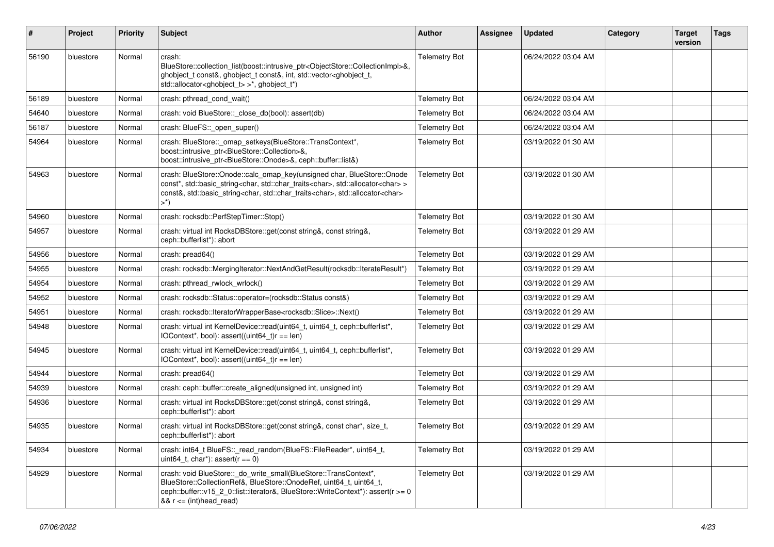| #     | Project   | <b>Priority</b> | <b>Subject</b>                                                                                                                                                                                                                                                                                                | Author               | Assignee | <b>Updated</b>      | Category | <b>Target</b><br>version | <b>Tags</b> |
|-------|-----------|-----------------|---------------------------------------------------------------------------------------------------------------------------------------------------------------------------------------------------------------------------------------------------------------------------------------------------------------|----------------------|----------|---------------------|----------|--------------------------|-------------|
| 56190 | bluestore | Normal          | crash:<br>BlueStore::collection_list(boost::intrusive_ptr <objectstore::collectionimpl>&amp;,<br/>ghobject_t const&amp;, ghobject_t const&amp;, int, std::vector<ghobject_t,<br>std::allocator<ghobject_t> &gt;*, ghobject_t*)</ghobject_t></ghobject_t,<br></objectstore::collectionimpl>                    | <b>Telemetry Bot</b> |          | 06/24/2022 03:04 AM |          |                          |             |
| 56189 | bluestore | Normal          | crash: pthread_cond_wait()                                                                                                                                                                                                                                                                                    | <b>Telemetry Bot</b> |          | 06/24/2022 03:04 AM |          |                          |             |
| 54640 | bluestore | Normal          | crash: void BlueStore:: close_db(bool): assert(db)                                                                                                                                                                                                                                                            | <b>Telemetry Bot</b> |          | 06/24/2022 03:04 AM |          |                          |             |
| 56187 | bluestore | Normal          | crash: BlueFS::_open_super()                                                                                                                                                                                                                                                                                  | <b>Telemetry Bot</b> |          | 06/24/2022 03:04 AM |          |                          |             |
| 54964 | bluestore | Normal          | crash: BlueStore::_omap_setkeys(BlueStore::TransContext*,<br>boost::intrusive_ptr <bluestore::collection>&amp;,<br/>boost::intrusive_ptr<bluestore::onode>&amp;, ceph::buffer::list&amp;)</bluestore::onode></bluestore::collection>                                                                          | <b>Telemetry Bot</b> |          | 03/19/2022 01:30 AM |          |                          |             |
| 54963 | bluestore | Normal          | crash: BlueStore::Onode::calc_omap_key(unsigned char, BlueStore::Onode<br>const*, std::basic_string <char, std::char_traits<char="">, std::allocator<char>&gt;<br/>const&amp;, std::basic_string<char, std::char_traits<char="">, std::allocator<char><br/><math>&gt;^*)</math></char></char,></char></char,> | <b>Telemetry Bot</b> |          | 03/19/2022 01:30 AM |          |                          |             |
| 54960 | bluestore | Normal          | crash: rocksdb::PerfStepTimer::Stop()                                                                                                                                                                                                                                                                         | <b>Telemetry Bot</b> |          | 03/19/2022 01:30 AM |          |                          |             |
| 54957 | bluestore | Normal          | crash: virtual int RocksDBStore::get(const string&, const string&,<br>ceph::bufferlist*): abort                                                                                                                                                                                                               | <b>Telemetry Bot</b> |          | 03/19/2022 01:29 AM |          |                          |             |
| 54956 | bluestore | Normal          | crash: pread64()                                                                                                                                                                                                                                                                                              | <b>Telemetry Bot</b> |          | 03/19/2022 01:29 AM |          |                          |             |
| 54955 | bluestore | Normal          | crash: rocksdb::MergingIterator::NextAndGetResult(rocksdb::IterateResult*)                                                                                                                                                                                                                                    | <b>Telemetry Bot</b> |          | 03/19/2022 01:29 AM |          |                          |             |
| 54954 | bluestore | Normal          | crash: pthread rwlock wrlock()                                                                                                                                                                                                                                                                                | <b>Telemetry Bot</b> |          | 03/19/2022 01:29 AM |          |                          |             |
| 54952 | bluestore | Normal          | crash: rocksdb::Status::operator=(rocksdb::Status const&)                                                                                                                                                                                                                                                     | <b>Telemetry Bot</b> |          | 03/19/2022 01:29 AM |          |                          |             |
| 54951 | bluestore | Normal          | crash: rocksdb::lteratorWrapperBase <rocksdb::slice>::Next()</rocksdb::slice>                                                                                                                                                                                                                                 | <b>Telemetry Bot</b> |          | 03/19/2022 01:29 AM |          |                          |             |
| 54948 | bluestore | Normal          | crash: virtual int KernelDevice::read(uint64_t, uint64_t, ceph::bufferlist*,<br>IOContext*, bool): assert((uint64_t)r == len)                                                                                                                                                                                 | <b>Telemetry Bot</b> |          | 03/19/2022 01:29 AM |          |                          |             |
| 54945 | bluestore | Normal          | crash: virtual int KernelDevice::read(uint64_t, uint64_t, ceph::bufferlist*,<br>IOContext*, bool): assert((uint64_t)r == len)                                                                                                                                                                                 | <b>Telemetry Bot</b> |          | 03/19/2022 01:29 AM |          |                          |             |
| 54944 | bluestore | Normal          | crash: pread64()                                                                                                                                                                                                                                                                                              | <b>Telemetry Bot</b> |          | 03/19/2022 01:29 AM |          |                          |             |
| 54939 | bluestore | Normal          | crash: ceph::buffer::create_aligned(unsigned int, unsigned int)                                                                                                                                                                                                                                               | <b>Telemetry Bot</b> |          | 03/19/2022 01:29 AM |          |                          |             |
| 54936 | bluestore | Normal          | crash: virtual int RocksDBStore::get(const string&, const string&,<br>ceph::bufferlist*): abort                                                                                                                                                                                                               | <b>Telemetry Bot</b> |          | 03/19/2022 01:29 AM |          |                          |             |
| 54935 | bluestore | Normal          | crash: virtual int RocksDBStore::get(const string&, const char*, size_t,<br>ceph::bufferlist*): abort                                                                                                                                                                                                         | <b>Telemetry Bot</b> |          | 03/19/2022 01:29 AM |          |                          |             |
| 54934 | bluestore | Normal          | crash: int64_t BlueFS::_read_random(BlueFS::FileReader*, uint64_t,<br>uint64_t, char*): assert( $r == 0$ )                                                                                                                                                                                                    | <b>Telemetry Bot</b> |          | 03/19/2022 01:29 AM |          |                          |             |
| 54929 | bluestore | Normal          | crash: void BlueStore:: do_write_small(BlueStore::TransContext*,<br>BlueStore::CollectionRef&, BlueStore::OnodeRef, uint64 t, uint64 t,<br>ceph::buffer::v15_2_0::list::iterator&, BlueStore::WriteContext*): assert(r >= 0<br>$&x = (int)$ head read)                                                        | <b>Telemetry Bot</b> |          | 03/19/2022 01:29 AM |          |                          |             |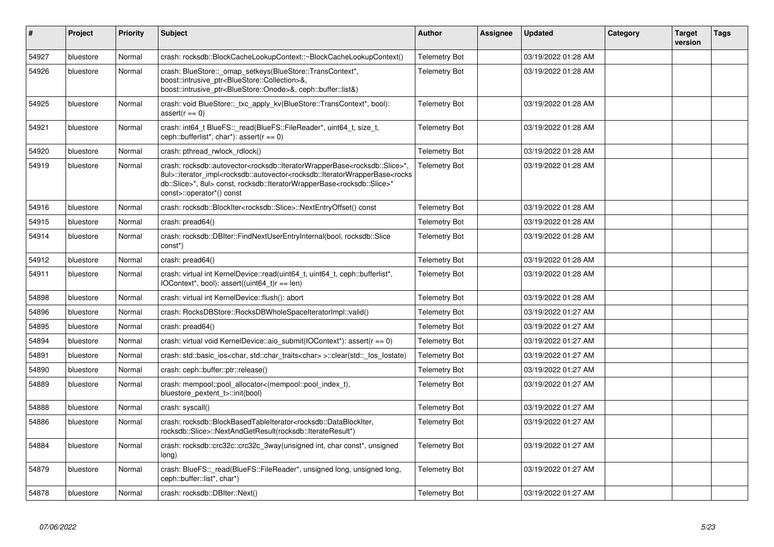| #     | Project   | <b>Priority</b> | <b>Subject</b>                                                                                                                                                                                                                                                                                                                                                                                           | <b>Author</b>        | Assignee | <b>Updated</b>      | Category | <b>Target</b><br>version | <b>Tags</b> |
|-------|-----------|-----------------|----------------------------------------------------------------------------------------------------------------------------------------------------------------------------------------------------------------------------------------------------------------------------------------------------------------------------------------------------------------------------------------------------------|----------------------|----------|---------------------|----------|--------------------------|-------------|
| 54927 | bluestore | Normal          | crash: rocksdb::BlockCacheLookupContext::~BlockCacheLookupContext()                                                                                                                                                                                                                                                                                                                                      | <b>Telemetry Bot</b> |          | 03/19/2022 01:28 AM |          |                          |             |
| 54926 | bluestore | Normal          | crash: BlueStore:: omap setkeys(BlueStore::TransContext*,<br>boost::intrusive_ptr <bluestore::collection>&amp;,<br/>boost::intrusive_ptr<bluestore::onode>&amp;, ceph::buffer::list&amp;)</bluestore::onode></bluestore::collection>                                                                                                                                                                     | <b>Telemetry Bot</b> |          | 03/19/2022 01:28 AM |          |                          |             |
| 54925 | bluestore | Normal          | crash: void BlueStore::_txc_apply_kv(BlueStore::TransContext*, bool):<br>$assert(r == 0)$                                                                                                                                                                                                                                                                                                                | <b>Telemetry Bot</b> |          | 03/19/2022 01:28 AM |          |                          |             |
| 54921 | bluestore | Normal          | crash: int64_t BlueFS::_read(BlueFS::FileReader*, uint64_t, size_t,<br>ceph::bufferlist*, char*): assert( $r == 0$ )                                                                                                                                                                                                                                                                                     | <b>Telemetry Bot</b> |          | 03/19/2022 01:28 AM |          |                          |             |
| 54920 | bluestore | Normal          | crash: pthread_rwlock_rdlock()                                                                                                                                                                                                                                                                                                                                                                           | <b>Telemetry Bot</b> |          | 03/19/2022 01:28 AM |          |                          |             |
| 54919 | bluestore | Normal          | crash: rocksdb::autovector <rocksdb::lteratorwrapperbase<rocksdb::slice>*,<br/>8ul&gt;::iterator_impl<rocksdb::autovector<rocksdb::lteratorwrapperbase<rocks<br>db::Slice&gt;*, 8ul&gt; const, rocksdb::lteratorWrapperBase<rocksdb::slice>*<br/>const&gt;::operator*() const</rocksdb::slice></rocksdb::autovector<rocksdb::lteratorwrapperbase<rocks<br></rocksdb::lteratorwrapperbase<rocksdb::slice> | <b>Telemetry Bot</b> |          | 03/19/2022 01:28 AM |          |                          |             |
| 54916 | bluestore | Normal          | crash: rocksdb::BlockIter <rocksdb::slice>::NextEntryOffset() const</rocksdb::slice>                                                                                                                                                                                                                                                                                                                     | <b>Telemetry Bot</b> |          | 03/19/2022 01:28 AM |          |                          |             |
| 54915 | bluestore | Normal          | crash: pread64()                                                                                                                                                                                                                                                                                                                                                                                         | <b>Telemetry Bot</b> |          | 03/19/2022 01:28 AM |          |                          |             |
| 54914 | bluestore | Normal          | crash: rocksdb::DBIter::FindNextUserEntryInternal(bool, rocksdb::Slice<br>const*)                                                                                                                                                                                                                                                                                                                        | <b>Telemetry Bot</b> |          | 03/19/2022 01:28 AM |          |                          |             |
| 54912 | bluestore | Normal          | crash: pread64()                                                                                                                                                                                                                                                                                                                                                                                         | <b>Telemetry Bot</b> |          | 03/19/2022 01:28 AM |          |                          |             |
| 54911 | bluestore | Normal          | crash: virtual int KernelDevice::read(uint64 t, uint64 t, ceph::bufferlist*,<br>IOContext*, bool): assert((uint64_t)r == len)                                                                                                                                                                                                                                                                            | <b>Telemetry Bot</b> |          | 03/19/2022 01:28 AM |          |                          |             |
| 54898 | bluestore | Normal          | crash: virtual int KernelDevice::flush(): abort                                                                                                                                                                                                                                                                                                                                                          | <b>Telemetry Bot</b> |          | 03/19/2022 01:28 AM |          |                          |             |
| 54896 | bluestore | Normal          | crash: RocksDBStore::RocksDBWholeSpaceIteratorImpl::valid()                                                                                                                                                                                                                                                                                                                                              | <b>Telemetry Bot</b> |          | 03/19/2022 01:27 AM |          |                          |             |
| 54895 | bluestore | Normal          | crash: pread64()                                                                                                                                                                                                                                                                                                                                                                                         | <b>Telemetry Bot</b> |          | 03/19/2022 01:27 AM |          |                          |             |
| 54894 | bluestore | Normal          | crash: virtual void KernelDevice: aio_submit(IOContext*): assert( $r = 0$ )                                                                                                                                                                                                                                                                                                                              | <b>Telemetry Bot</b> |          | 03/19/2022 01:27 AM |          |                          |             |
| 54891 | bluestore | Normal          | crash: std::basic ios <char, std::char="" traits<char=""> &gt;::clear(std:: los lostate)</char,>                                                                                                                                                                                                                                                                                                         | <b>Telemetry Bot</b> |          | 03/19/2022 01:27 AM |          |                          |             |
| 54890 | bluestore | Normal          | crash: ceph::buffer::ptr::release()                                                                                                                                                                                                                                                                                                                                                                      | <b>Telemetry Bot</b> |          | 03/19/2022 01:27 AM |          |                          |             |
| 54889 | bluestore | Normal          | crash: mempool::pool_allocator<(mempool::pool_index_t),<br>bluestore pextent t>::init(bool)                                                                                                                                                                                                                                                                                                              | <b>Telemetry Bot</b> |          | 03/19/2022 01:27 AM |          |                          |             |
| 54888 | bluestore | Normal          | crash: syscall()                                                                                                                                                                                                                                                                                                                                                                                         | <b>Telemetry Bot</b> |          | 03/19/2022 01:27 AM |          |                          |             |
| 54886 | bluestore | Normal          | crash: rocksdb::BlockBasedTableIterator <rocksdb::datablockiter,<br>rocksdb::Slice&gt;::NextAndGetResult(rocksdb::IterateResult*)</rocksdb::datablockiter,<br>                                                                                                                                                                                                                                           | <b>Telemetry Bot</b> |          | 03/19/2022 01:27 AM |          |                          |             |
| 54884 | bluestore | Normal          | crash: rocksdb::crc32c::crc32c 3way(unsigned int, char const*, unsigned<br>long)                                                                                                                                                                                                                                                                                                                         | <b>Telemetry Bot</b> |          | 03/19/2022 01:27 AM |          |                          |             |
| 54879 | bluestore | Normal          | crash: BlueFS::_read(BlueFS::FileReader*, unsigned long, unsigned long,<br>ceph::buffer::list*, char*)                                                                                                                                                                                                                                                                                                   | <b>Telemetry Bot</b> |          | 03/19/2022 01:27 AM |          |                          |             |
| 54878 | bluestore | Normal          | crash: rocksdb::DBIter::Next()                                                                                                                                                                                                                                                                                                                                                                           | <b>Telemetry Bot</b> |          | 03/19/2022 01:27 AM |          |                          |             |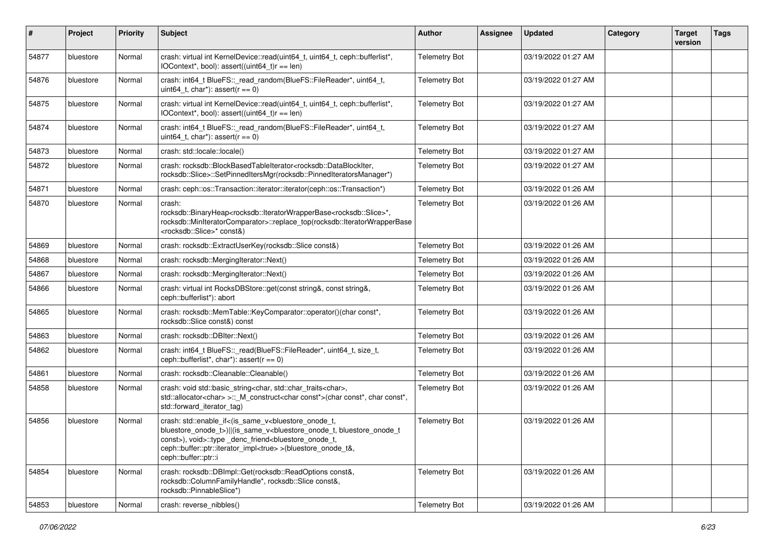| #     | Project   | <b>Priority</b> | <b>Subject</b>                                                                                                                                                                                                                                                                                                                                                               | <b>Author</b>        | <b>Assignee</b> | <b>Updated</b>      | Category | <b>Target</b><br>version | <b>Tags</b> |
|-------|-----------|-----------------|------------------------------------------------------------------------------------------------------------------------------------------------------------------------------------------------------------------------------------------------------------------------------------------------------------------------------------------------------------------------------|----------------------|-----------------|---------------------|----------|--------------------------|-------------|
| 54877 | bluestore | Normal          | crash: virtual int KernelDevice::read(uint64_t, uint64_t, ceph::bufferlist*,<br>IOContext*, bool): assert((uint64_t)r == len)                                                                                                                                                                                                                                                | <b>Telemetry Bot</b> |                 | 03/19/2022 01:27 AM |          |                          |             |
| 54876 | bluestore | Normal          | crash: int64_t BlueFS::_read_random(BlueFS::FileReader*, uint64_t,<br>uint64 t, char*): assert( $r == 0$ )                                                                                                                                                                                                                                                                   | <b>Telemetry Bot</b> |                 | 03/19/2022 01:27 AM |          |                          |             |
| 54875 | bluestore | Normal          | crash: virtual int KernelDevice::read(uint64_t, uint64_t, ceph::bufferlist*,<br>IOContext*, bool): assert((uint64_t)r == len)                                                                                                                                                                                                                                                | <b>Telemetry Bot</b> |                 | 03/19/2022 01:27 AM |          |                          |             |
| 54874 | bluestore | Normal          | crash: int64_t BlueFS::_read_random(BlueFS::FileReader*, uint64_t,<br>uint 64 t, char*): assert $(r == 0)$                                                                                                                                                                                                                                                                   | <b>Telemetry Bot</b> |                 | 03/19/2022 01:27 AM |          |                          |             |
| 54873 | bluestore | Normal          | crash: std::locale::locale()                                                                                                                                                                                                                                                                                                                                                 | <b>Telemetry Bot</b> |                 | 03/19/2022 01:27 AM |          |                          |             |
| 54872 | bluestore | Normal          | crash: rocksdb::BlockBasedTableIterator <rocksdb::datablockiter,<br>rocksdb::Slice&gt;::SetPinnedItersMgr(rocksdb::PinnedIteratorsManager*)</rocksdb::datablockiter,<br>                                                                                                                                                                                                     | <b>Telemetry Bot</b> |                 | 03/19/2022 01:27 AM |          |                          |             |
| 54871 | bluestore | Normal          | crash: ceph::os::Transaction::iterator::iterator(ceph::os::Transaction*)                                                                                                                                                                                                                                                                                                     | <b>Telemetry Bot</b> |                 | 03/19/2022 01:26 AM |          |                          |             |
| 54870 | bluestore | Normal          | crash:<br>rocksdb::BinaryHeap <rocksdb::iteratorwrapperbase<rocksdb::slice>*,<br/>rocksdb::MinIteratorComparator&gt;::replace_top(rocksdb::lteratorWrapperBase<br/><rocksdb::slice>* const&amp;)</rocksdb::slice></rocksdb::iteratorwrapperbase<rocksdb::slice>                                                                                                              | <b>Telemetry Bot</b> |                 | 03/19/2022 01:26 AM |          |                          |             |
| 54869 | bluestore | Normal          | crash: rocksdb::ExtractUserKey(rocksdb::Slice const&)                                                                                                                                                                                                                                                                                                                        | <b>Telemetry Bot</b> |                 | 03/19/2022 01:26 AM |          |                          |             |
| 54868 | bluestore | Normal          | crash: rocksdb::MergingIterator::Next()                                                                                                                                                                                                                                                                                                                                      | <b>Telemetry Bot</b> |                 | 03/19/2022 01:26 AM |          |                          |             |
| 54867 | bluestore | Normal          | crash: rocksdb::MergingIterator::Next()                                                                                                                                                                                                                                                                                                                                      | <b>Telemetry Bot</b> |                 | 03/19/2022 01:26 AM |          |                          |             |
| 54866 | bluestore | Normal          | crash: virtual int RocksDBStore::get(const string&, const string&,<br>ceph::bufferlist*): abort                                                                                                                                                                                                                                                                              | <b>Telemetry Bot</b> |                 | 03/19/2022 01:26 AM |          |                          |             |
| 54865 | bluestore | Normal          | crash: rocksdb::MemTable::KeyComparator::operator()(char const*,<br>rocksdb::Slice const&) const                                                                                                                                                                                                                                                                             | <b>Telemetry Bot</b> |                 | 03/19/2022 01:26 AM |          |                          |             |
| 54863 | bluestore | Normal          | crash: rocksdb::DBIter::Next()                                                                                                                                                                                                                                                                                                                                               | <b>Telemetry Bot</b> |                 | 03/19/2022 01:26 AM |          |                          |             |
| 54862 | bluestore | Normal          | crash: int64_t BlueFS::_read(BlueFS::FileReader*, uint64_t, size_t,<br>ceph::bufferlist*, char*): assert( $r == 0$ )                                                                                                                                                                                                                                                         | <b>Telemetry Bot</b> |                 | 03/19/2022 01:26 AM |          |                          |             |
| 54861 | bluestore | Normal          | crash: rocksdb::Cleanable::Cleanable()                                                                                                                                                                                                                                                                                                                                       | <b>Telemetry Bot</b> |                 | 03/19/2022 01:26 AM |          |                          |             |
| 54858 | bluestore | Normal          | crash: void std::basic_string <char, std::char_traits<char="">,<br/>std::allocator<char> &gt;::_M_construct<char const*="">(char const*, char const*,<br/>std::forward_iterator_tag)</char></char></char,>                                                                                                                                                                   | <b>Telemetry Bot</b> |                 | 03/19/2022 01:26 AM |          |                          |             |
| 54856 | bluestore | Normal          | crash: std::enable_if<(is_same_v <bluestore_onode_t,<br>bluestore_onode_t&gt;)  (is_same_v<bluestore_onode_t, bluestore_onode_t<br="">const&gt;), void&gt;::type _denc_triend<bluestore_onode_t,<br>ceph::buffer::ptr::iterator_impl<true> &gt;(bluestore_onode_t&amp;,<br/>ceph::buffer::ptr::i</true></bluestore_onode_t,<br></bluestore_onode_t,></bluestore_onode_t,<br> | <b>Telemetry Bot</b> |                 | 03/19/2022 01:26 AM |          |                          |             |
| 54854 | bluestore | Normal          | crash: rocksdb::DBImpl::Get(rocksdb::ReadOptions const&,<br>rocksdb::ColumnFamilyHandle*, rocksdb::Slice const&,<br>rocksdb::PinnableSlice*)                                                                                                                                                                                                                                 | <b>Telemetry Bot</b> |                 | 03/19/2022 01:26 AM |          |                          |             |
| 54853 | bluestore | Normal          | crash: reverse nibbles()                                                                                                                                                                                                                                                                                                                                                     | <b>Telemetry Bot</b> |                 | 03/19/2022 01:26 AM |          |                          |             |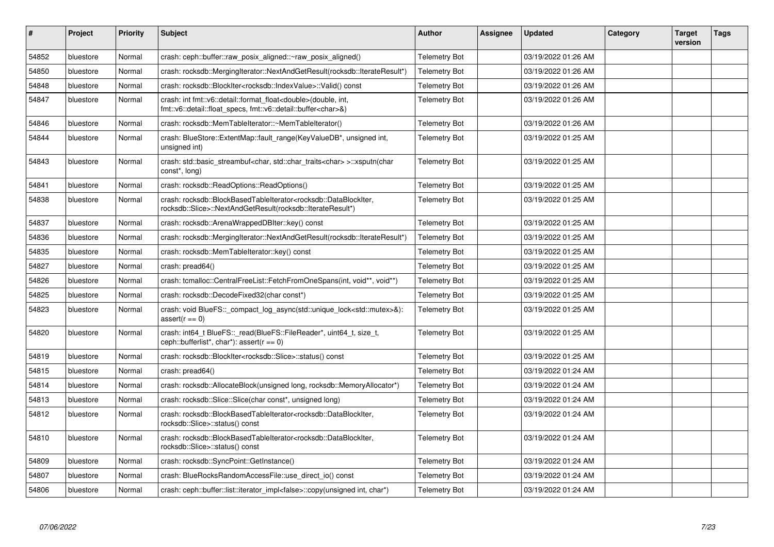| $\pmb{\#}$ | Project   | <b>Priority</b> | <b>Subject</b>                                                                                                                                                 | <b>Author</b>        | Assignee | <b>Updated</b>      | Category | <b>Target</b><br>version | <b>Tags</b> |
|------------|-----------|-----------------|----------------------------------------------------------------------------------------------------------------------------------------------------------------|----------------------|----------|---------------------|----------|--------------------------|-------------|
| 54852      | bluestore | Normal          | crash: ceph::buffer::raw_posix_aligned::~raw_posix_aligned()                                                                                                   | <b>Telemetry Bot</b> |          | 03/19/2022 01:26 AM |          |                          |             |
| 54850      | bluestore | Normal          | crash: rocksdb::MergingIterator::NextAndGetResult(rocksdb::IterateResult*)                                                                                     | <b>Telemetry Bot</b> |          | 03/19/2022 01:26 AM |          |                          |             |
| 54848      | bluestore | Normal          | crash: rocksdb::BlockIter <rocksdb::indexvalue>::Valid()                     const</rocksdb::indexvalue>                                                       | <b>Telemetry Bot</b> |          | 03/19/2022 01:26 AM |          |                          |             |
| 54847      | bluestore | Normal          | crash: int fmt::v6::detail::format_float <double>(double, int,<br/>fmt::v6::detail::float specs, fmt::v6::detail::buffer<char>&amp;)</char></double>           | <b>Telemetry Bot</b> |          | 03/19/2022 01:26 AM |          |                          |             |
| 54846      | bluestore | Normal          | crash: rocksdb::MemTableIterator::~MemTableIterator()                                                                                                          | <b>Telemetry Bot</b> |          | 03/19/2022 01:26 AM |          |                          |             |
| 54844      | bluestore | Normal          | crash: BlueStore::ExtentMap::fault_range(KeyValueDB*, unsigned int,<br>unsigned int)                                                                           | <b>Telemetry Bot</b> |          | 03/19/2022 01:25 AM |          |                          |             |
| 54843      | bluestore | Normal          | crash: std::basic_streambuf <char, std::char_traits<char=""> &gt;::xsputn(char<br/>const<sup>*</sup>, long)</char,>                                            | <b>Telemetry Bot</b> |          | 03/19/2022 01:25 AM |          |                          |             |
| 54841      | bluestore | Normal          | crash: rocksdb::ReadOptions::ReadOptions()                                                                                                                     | <b>Telemetry Bot</b> |          | 03/19/2022 01:25 AM |          |                          |             |
| 54838      | bluestore | Normal          | crash: rocksdb::BlockBasedTableIterator <rocksdb::datablockiter,<br>rocksdb::Slice&gt;::NextAndGetResult(rocksdb::IterateResult*)</rocksdb::datablockiter,<br> | <b>Telemetry Bot</b> |          | 03/19/2022 01:25 AM |          |                          |             |
| 54837      | bluestore | Normal          | crash: rocksdb::ArenaWrappedDBIter::key() const                                                                                                                | <b>Telemetry Bot</b> |          | 03/19/2022 01:25 AM |          |                          |             |
| 54836      | bluestore | Normal          | crash: rocksdb::MergingIterator::NextAndGetResult(rocksdb::IterateResult*)                                                                                     | <b>Telemetry Bot</b> |          | 03/19/2022 01:25 AM |          |                          |             |
| 54835      | bluestore | Normal          | crash: rocksdb::MemTableIterator::key() const                                                                                                                  | <b>Telemetry Bot</b> |          | 03/19/2022 01:25 AM |          |                          |             |
| 54827      | bluestore | Normal          | crash: pread64()                                                                                                                                               | <b>Telemetry Bot</b> |          | 03/19/2022 01:25 AM |          |                          |             |
| 54826      | bluestore | Normal          | crash: tcmalloc::CentralFreeList::FetchFromOneSpans(int, void**, void**)                                                                                       | <b>Telemetry Bot</b> |          | 03/19/2022 01:25 AM |          |                          |             |
| 54825      | bluestore | Normal          | crash: rocksdb::DecodeFixed32(char const*)                                                                                                                     | <b>Telemetry Bot</b> |          | 03/19/2022 01:25 AM |          |                          |             |
| 54823      | bluestore | Normal          | crash: void BlueFS::_compact_log_async(std::unique_lock <std::mutex>&amp;):<br/><math>assert(r == 0)</math></std::mutex>                                       | <b>Telemetry Bot</b> |          | 03/19/2022 01:25 AM |          |                          |             |
| 54820      | bluestore | Normal          | crash: int64_t BlueFS::_read(BlueFS::FileReader*, uint64_t, size_t,<br>ceph::bufferlist*, char*): assert( $r == 0$ )                                           | Telemetry Bot        |          | 03/19/2022 01:25 AM |          |                          |             |
| 54819      | bluestore | Normal          | crash: rocksdb::BlockIter <rocksdb::slice>::status() const</rocksdb::slice>                                                                                    | <b>Telemetry Bot</b> |          | 03/19/2022 01:25 AM |          |                          |             |
| 54815      | bluestore | Normal          | crash: pread64()                                                                                                                                               | <b>Telemetry Bot</b> |          | 03/19/2022 01:24 AM |          |                          |             |
| 54814      | bluestore | Normal          | crash: rocksdb::AllocateBlock(unsigned long, rocksdb::MemoryAllocator*)                                                                                        | <b>Telemetry Bot</b> |          | 03/19/2022 01:24 AM |          |                          |             |
| 54813      | bluestore | Normal          | crash: rocksdb::Slice::Slice(char const*, unsigned long)                                                                                                       | <b>Telemetry Bot</b> |          | 03/19/2022 01:24 AM |          |                          |             |
| 54812      | bluestore | Normal          | crash: rocksdb::BlockBasedTableIterator <rocksdb::datablockiter,<br>rocksdb::Slice&gt;::status() const</rocksdb::datablockiter,<br>                            | <b>Telemetry Bot</b> |          | 03/19/2022 01:24 AM |          |                          |             |
| 54810      | bluestore | Normal          | crash: rocksdb::BlockBasedTableIterator <rocksdb::datablockiter,<br>rocksdb::Slice&gt;::status() const</rocksdb::datablockiter,<br>                            | <b>Telemetry Bot</b> |          | 03/19/2022 01:24 AM |          |                          |             |
| 54809      | bluestore | Normal          | crash: rocksdb::SyncPoint::GetInstance()                                                                                                                       | <b>Telemetry Bot</b> |          | 03/19/2022 01:24 AM |          |                          |             |
| 54807      | bluestore | Normal          | crash: BlueRocksRandomAccessFile::use direct io() const                                                                                                        | <b>Telemetry Bot</b> |          | 03/19/2022 01:24 AM |          |                          |             |
| 54806      | bluestore | Normal          | crash: ceph::buffer::list::iterator_impl <false>::copy(unsigned int, char*)</false>                                                                            | <b>Telemetry Bot</b> |          | 03/19/2022 01:24 AM |          |                          |             |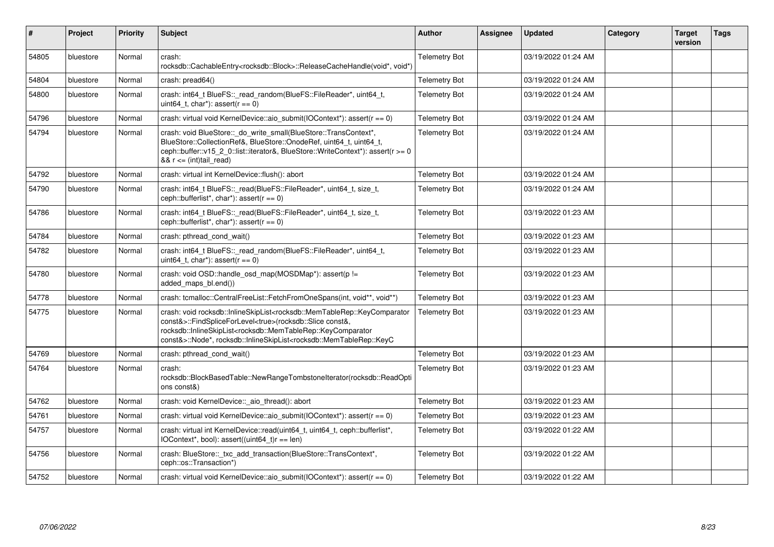| #     | Project   | <b>Priority</b> | <b>Subject</b>                                                                                                                                                                                                                                                                                                                                                                                                                                                                                                           | <b>Author</b>        | Assignee | <b>Updated</b>      | Category | <b>Target</b><br>version | <b>Tags</b> |
|-------|-----------|-----------------|--------------------------------------------------------------------------------------------------------------------------------------------------------------------------------------------------------------------------------------------------------------------------------------------------------------------------------------------------------------------------------------------------------------------------------------------------------------------------------------------------------------------------|----------------------|----------|---------------------|----------|--------------------------|-------------|
| 54805 | bluestore | Normal          | crash:<br>rocksdb::CachableEntry <rocksdb::block>::ReleaseCacheHandle(void*, void*)</rocksdb::block>                                                                                                                                                                                                                                                                                                                                                                                                                     | <b>Telemetry Bot</b> |          | 03/19/2022 01:24 AM |          |                          |             |
| 54804 | bluestore | Normal          | crash: pread64()                                                                                                                                                                                                                                                                                                                                                                                                                                                                                                         | <b>Telemetry Bot</b> |          | 03/19/2022 01:24 AM |          |                          |             |
| 54800 | bluestore | Normal          | crash: int64 t BlueFS:: read random(BlueFS::FileReader*, uint64 t,<br>uint64 t, char*): assert( $r == 0$ )                                                                                                                                                                                                                                                                                                                                                                                                               | <b>Telemetry Bot</b> |          | 03/19/2022 01:24 AM |          |                          |             |
| 54796 | bluestore | Normal          | crash: virtual void KernelDevice: aio submit(IOContext*): assert( $r == 0$ )                                                                                                                                                                                                                                                                                                                                                                                                                                             | <b>Telemetry Bot</b> |          | 03/19/2022 01:24 AM |          |                          |             |
| 54794 | bluestore | Normal          | crash: void BlueStore:: do_write_small(BlueStore::TransContext*,<br>BlueStore::CollectionRef&, BlueStore::OnodeRef, uint64_t, uint64_t,<br>ceph::buffer::v15 2 0::list::iterator&, BlueStore::WriteContext*): assert(r >= 0<br>$&x = (int)$ tail_read)                                                                                                                                                                                                                                                                   | <b>Telemetry Bot</b> |          | 03/19/2022 01:24 AM |          |                          |             |
| 54792 | bluestore | Normal          | crash: virtual int KernelDevice::flush(): abort                                                                                                                                                                                                                                                                                                                                                                                                                                                                          | <b>Telemetry Bot</b> |          | 03/19/2022 01:24 AM |          |                          |             |
| 54790 | bluestore | Normal          | crash: int64_t BlueFS::_read(BlueFS::FileReader*, uint64_t, size_t,<br>ceph::bufferlist*, char*): assert( $r == 0$ )                                                                                                                                                                                                                                                                                                                                                                                                     | <b>Telemetry Bot</b> |          | 03/19/2022 01:24 AM |          |                          |             |
| 54786 | bluestore | Normal          | crash: int64 t BlueFS:: read(BlueFS::FileReader*, uint64 t, size t,<br>ceph::bufferlist*, char*): assert( $r == 0$ )                                                                                                                                                                                                                                                                                                                                                                                                     | <b>Telemetry Bot</b> |          | 03/19/2022 01:23 AM |          |                          |             |
| 54784 | bluestore | Normal          | crash: pthread cond wait()                                                                                                                                                                                                                                                                                                                                                                                                                                                                                               | <b>Telemetry Bot</b> |          | 03/19/2022 01:23 AM |          |                          |             |
| 54782 | bluestore | Normal          | crash: int64_t BlueFS:: read_random(BlueFS::FileReader*, uint64_t,<br>uint64_t, char*): assert( $r == 0$ )                                                                                                                                                                                                                                                                                                                                                                                                               | <b>Telemetry Bot</b> |          | 03/19/2022 01:23 AM |          |                          |             |
| 54780 | bluestore | Normal          | crash: void OSD::handle_osd_map(MOSDMap*): assert(p !=<br>added_maps_bl.end())                                                                                                                                                                                                                                                                                                                                                                                                                                           | <b>Telemetry Bot</b> |          | 03/19/2022 01:23 AM |          |                          |             |
| 54778 | bluestore | Normal          | crash: tcmalloc::CentralFreeList::FetchFromOneSpans(int, void**, void**)                                                                                                                                                                                                                                                                                                                                                                                                                                                 | <b>Telemetry Bot</b> |          | 03/19/2022 01:23 AM |          |                          |             |
| 54775 | bluestore | Normal          | crash: void rocksdb::InlineSkipList <rocksdb::memtablerep::keycomparator<br>const&amp;&gt;::FindSpliceForLevel<true>(rocksdb::Slice const&amp;,<br/>rocksdb::InlineSkipList<rocksdb::memtablerep::keycomparator<br>const&amp;&gt;::Node*, rocksdb::InlineSkipList<rocksdb::memtablerep::keyc< td=""><td><b>Telemetry Bot</b></td><td></td><td>03/19/2022 01:23 AM</td><td></td><td></td><td></td></rocksdb::memtablerep::keyc<></rocksdb::memtablerep::keycomparator<br></true></rocksdb::memtablerep::keycomparator<br> | <b>Telemetry Bot</b> |          | 03/19/2022 01:23 AM |          |                          |             |
| 54769 | bluestore | Normal          | crash: pthread cond wait()                                                                                                                                                                                                                                                                                                                                                                                                                                                                                               | <b>Telemetry Bot</b> |          | 03/19/2022 01:23 AM |          |                          |             |
| 54764 | bluestore | Normal          | crash:<br>rocksdb::BlockBasedTable::NewRangeTombstoneIterator(rocksdb::ReadOpti<br>ons const&)                                                                                                                                                                                                                                                                                                                                                                                                                           | <b>Telemetry Bot</b> |          | 03/19/2022 01:23 AM |          |                          |             |
| 54762 | bluestore | Normal          | crash: void KernelDevice:: aio thread(): abort                                                                                                                                                                                                                                                                                                                                                                                                                                                                           | <b>Telemetry Bot</b> |          | 03/19/2022 01:23 AM |          |                          |             |
| 54761 | bluestore | Normal          | crash: virtual void KernelDevice: aio submit(IOContext*): assert( $r == 0$ )                                                                                                                                                                                                                                                                                                                                                                                                                                             | <b>Telemetry Bot</b> |          | 03/19/2022 01:23 AM |          |                          |             |
| 54757 | bluestore | Normal          | crash: virtual int KernelDevice::read(uint64_t, uint64_t, ceph::bufferlist*,<br>$IOContext*, bool): assert((uint64 t)r == len)$                                                                                                                                                                                                                                                                                                                                                                                          | <b>Telemetry Bot</b> |          | 03/19/2022 01:22 AM |          |                          |             |
| 54756 | bluestore | Normal          | crash: BlueStore:: txc_add_transaction(BlueStore::TransContext*,<br>ceph::os::Transaction*)                                                                                                                                                                                                                                                                                                                                                                                                                              | <b>Telemetry Bot</b> |          | 03/19/2022 01:22 AM |          |                          |             |
| 54752 | bluestore | Normal          | crash: virtual void KernelDevice: aio submit(IOContext*): assert( $r == 0$ )                                                                                                                                                                                                                                                                                                                                                                                                                                             | <b>Telemetry Bot</b> |          | 03/19/2022 01:22 AM |          |                          |             |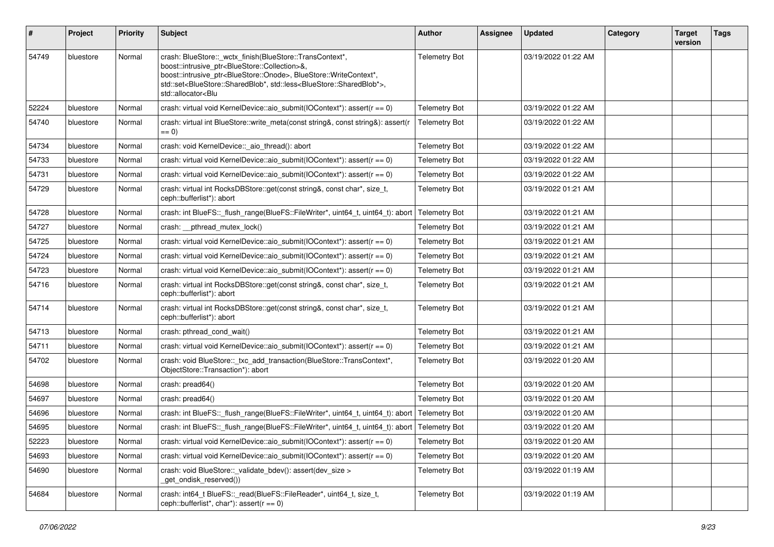| $\vert$ # | Project   | <b>Priority</b> | Subject                                                                                                                                                                                                                                                                                                                                                                                                                                                                 | Author               | <b>Assignee</b> | <b>Updated</b>      | Category | <b>Target</b><br>version | <b>Tags</b> |
|-----------|-----------|-----------------|-------------------------------------------------------------------------------------------------------------------------------------------------------------------------------------------------------------------------------------------------------------------------------------------------------------------------------------------------------------------------------------------------------------------------------------------------------------------------|----------------------|-----------------|---------------------|----------|--------------------------|-------------|
| 54749     | bluestore | Normal          | crash: BlueStore::_wctx_finish(BlueStore::TransContext*,<br>boost::intrusive_ptr <bluestore::collection>&amp;,<br/>boost::intrusive_ptr<bluestore::onode>, BlueStore::WriteContext*,<br/>std::set<bluestore::sharedblob*, std::less<bluestore::sharedblob*="">,<br/>std::allocator<blu< td=""><td><b>Telemetry Bot</b></td><td></td><td>03/19/2022 01:22 AM</td><td></td><td></td><td></td></blu<></bluestore::sharedblob*,></bluestore::onode></bluestore::collection> | <b>Telemetry Bot</b> |                 | 03/19/2022 01:22 AM |          |                          |             |
| 52224     | bluestore | Normal          | crash: virtual void KernelDevice::aio_submit(IOContext*): assert(r == 0)                                                                                                                                                                                                                                                                                                                                                                                                | <b>Telemetry Bot</b> |                 | 03/19/2022 01:22 AM |          |                          |             |
| 54740     | bluestore | Normal          | crash: virtual int BlueStore::write_meta(const string&, const string&): assert(r<br>$ == 0)$                                                                                                                                                                                                                                                                                                                                                                            | <b>Telemetry Bot</b> |                 | 03/19/2022 01:22 AM |          |                          |             |
| 54734     | bluestore | Normal          | crash: void KernelDevice:: aio thread(): abort                                                                                                                                                                                                                                                                                                                                                                                                                          | <b>Telemetry Bot</b> |                 | 03/19/2022 01:22 AM |          |                          |             |
| 54733     | bluestore | Normal          | crash: virtual void KernelDevice: aio_submit(IOContext*): assert( $r = 0$ )                                                                                                                                                                                                                                                                                                                                                                                             | <b>Telemetry Bot</b> |                 | 03/19/2022 01:22 AM |          |                          |             |
| 54731     | bluestore | Normal          | crash: virtual void KernelDevice::aio_submit(IOContext*): assert(r == 0)                                                                                                                                                                                                                                                                                                                                                                                                | <b>Telemetry Bot</b> |                 | 03/19/2022 01:22 AM |          |                          |             |
| 54729     | bluestore | Normal          | crash: virtual int RocksDBStore::get(const string&, const char*, size_t,<br>ceph::bufferlist*): abort                                                                                                                                                                                                                                                                                                                                                                   | <b>Telemetry Bot</b> |                 | 03/19/2022 01:21 AM |          |                          |             |
| 54728     | bluestore | Normal          | crash: int BlueFS:: flush_range(BlueFS::FileWriter*, uint64_t, uint64_t): abort                                                                                                                                                                                                                                                                                                                                                                                         | <b>Telemetry Bot</b> |                 | 03/19/2022 01:21 AM |          |                          |             |
| 54727     | bluestore | Normal          | crash: __pthread_mutex_lock()                                                                                                                                                                                                                                                                                                                                                                                                                                           | <b>Telemetry Bot</b> |                 | 03/19/2022 01:21 AM |          |                          |             |
| 54725     | bluestore | Normal          | crash: virtual void KernelDevice: aio_submit(IOContext*): assert( $r = 0$ )                                                                                                                                                                                                                                                                                                                                                                                             | <b>Telemetry Bot</b> |                 | 03/19/2022 01:21 AM |          |                          |             |
| 54724     | bluestore | Normal          | crash: virtual void KernelDevice::aio_submit(IOContext*): assert(r == 0)                                                                                                                                                                                                                                                                                                                                                                                                | <b>Telemetry Bot</b> |                 | 03/19/2022 01:21 AM |          |                          |             |
| 54723     | bluestore | Normal          | crash: virtual void KernelDevice::aio_submit(IOContext*): assert(r == 0)                                                                                                                                                                                                                                                                                                                                                                                                | <b>Telemetry Bot</b> |                 | 03/19/2022 01:21 AM |          |                          |             |
| 54716     | bluestore | Normal          | crash: virtual int RocksDBStore::get(const string&, const char*, size_t,<br>ceph::bufferlist*): abort                                                                                                                                                                                                                                                                                                                                                                   | <b>Telemetry Bot</b> |                 | 03/19/2022 01:21 AM |          |                          |             |
| 54714     | bluestore | Normal          | crash: virtual int RocksDBStore::get(const string&, const char*, size_t,<br>ceph::bufferlist*): abort                                                                                                                                                                                                                                                                                                                                                                   | <b>Telemetry Bot</b> |                 | 03/19/2022 01:21 AM |          |                          |             |
| 54713     | bluestore | Normal          | crash: pthread_cond_wait()                                                                                                                                                                                                                                                                                                                                                                                                                                              | <b>Telemetry Bot</b> |                 | 03/19/2022 01:21 AM |          |                          |             |
| 54711     | bluestore | Normal          | crash: virtual void KernelDevice: aio_submit(IOContext*): assert( $r = 0$ )                                                                                                                                                                                                                                                                                                                                                                                             | <b>Telemetry Bot</b> |                 | 03/19/2022 01:21 AM |          |                          |             |
| 54702     | bluestore | Normal          | crash: void BlueStore::_txc_add_transaction(BlueStore::TransContext*,<br>ObjectStore::Transaction*): abort                                                                                                                                                                                                                                                                                                                                                              | <b>Telemetry Bot</b> |                 | 03/19/2022 01:20 AM |          |                          |             |
| 54698     | bluestore | Normal          | crash: pread64()                                                                                                                                                                                                                                                                                                                                                                                                                                                        | <b>Telemetry Bot</b> |                 | 03/19/2022 01:20 AM |          |                          |             |
| 54697     | bluestore | Normal          | crash: pread64()                                                                                                                                                                                                                                                                                                                                                                                                                                                        | <b>Telemetry Bot</b> |                 | 03/19/2022 01:20 AM |          |                          |             |
| 54696     | bluestore | Normal          | crash: int BlueFS::_flush_range(BlueFS::FileWriter*, uint64_t, uint64_t): abort                                                                                                                                                                                                                                                                                                                                                                                         | <b>Telemetry Bot</b> |                 | 03/19/2022 01:20 AM |          |                          |             |
| 54695     | bluestore | Normal          | crash: int BlueFS::_flush_range(BlueFS::FileWriter*, uint64_t, uint64_t): abort                                                                                                                                                                                                                                                                                                                                                                                         | Telemetry Bot        |                 | 03/19/2022 01:20 AM |          |                          |             |
| 52223     | bluestore | Normal          | crash: virtual void KernelDevice::aio_submit(IOContext*): assert(r == 0)                                                                                                                                                                                                                                                                                                                                                                                                | <b>Telemetry Bot</b> |                 | 03/19/2022 01:20 AM |          |                          |             |
| 54693     | bluestore | Normal          | crash: virtual void KernelDevice: aio submit(IOContext*): assert( $r = 0$ )                                                                                                                                                                                                                                                                                                                                                                                             | <b>Telemetry Bot</b> |                 | 03/19/2022 01:20 AM |          |                          |             |
| 54690     | bluestore | Normal          | crash: void BlueStore::_validate_bdev(): assert(dev_size ><br>get_ondisk_reserved())                                                                                                                                                                                                                                                                                                                                                                                    | <b>Telemetry Bot</b> |                 | 03/19/2022 01:19 AM |          |                          |             |
| 54684     | bluestore | Normal          | crash: int64_t BlueFS::_read(BlueFS::FileReader*, uint64_t, size_t,<br>ceph::bufferlist*, char*): assert( $r == 0$ )                                                                                                                                                                                                                                                                                                                                                    | <b>Telemetry Bot</b> |                 | 03/19/2022 01:19 AM |          |                          |             |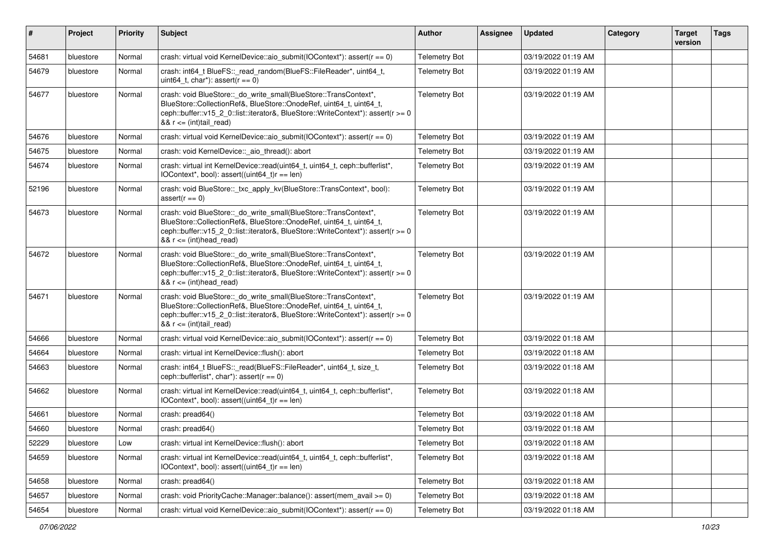| $\sharp$ | Project   | <b>Priority</b> | Subject                                                                                                                                                                                                                                                     | <b>Author</b>        | Assignee | <b>Updated</b>      | Category | <b>Target</b><br>version | <b>Tags</b> |
|----------|-----------|-----------------|-------------------------------------------------------------------------------------------------------------------------------------------------------------------------------------------------------------------------------------------------------------|----------------------|----------|---------------------|----------|--------------------------|-------------|
| 54681    | bluestore | Normal          | crash: virtual void KernelDevice::aio_submit(IOContext*): assert(r == 0)                                                                                                                                                                                    | <b>Telemetry Bot</b> |          | 03/19/2022 01:19 AM |          |                          |             |
| 54679    | bluestore | Normal          | crash: int64_t BlueFS::_read_random(BlueFS::FileReader*, uint64_t,<br>uint64_t, char*): assert( $r == 0$ )                                                                                                                                                  | <b>Telemetry Bot</b> |          | 03/19/2022 01:19 AM |          |                          |             |
| 54677    | bluestore | Normal          | crash: void BlueStore::_do_write_small(BlueStore::TransContext*,<br>BlueStore::CollectionRef&, BlueStore::OnodeRef, uint64_t, uint64_t,<br>ceph::buffer::v15_2_0::list::iterator&, BlueStore::WriteContext*): assert(r >= 0<br>&& $r \leq (int) tail\_read$ | <b>Telemetry Bot</b> |          | 03/19/2022 01:19 AM |          |                          |             |
| 54676    | bluestore | Normal          | crash: virtual void KernelDevice::aio_submit(IOContext*): assert( $r = 0$ )                                                                                                                                                                                 | <b>Telemetry Bot</b> |          | 03/19/2022 01:19 AM |          |                          |             |
| 54675    | bluestore | Normal          | crash: void KernelDevice:: aio_thread(): abort                                                                                                                                                                                                              | <b>Telemetry Bot</b> |          | 03/19/2022 01:19 AM |          |                          |             |
| 54674    | bluestore | Normal          | crash: virtual int KernelDevice::read(uint64_t, uint64_t, ceph::bufferlist*,<br>IOContext*, bool): assert((uint64_t)r == len)                                                                                                                               | <b>Telemetry Bot</b> |          | 03/19/2022 01:19 AM |          |                          |             |
| 52196    | bluestore | Normal          | crash: void BlueStore::_txc_apply_kv(BlueStore::TransContext*, bool):<br>$assert(r == 0)$                                                                                                                                                                   | <b>Telemetry Bot</b> |          | 03/19/2022 01:19 AM |          |                          |             |
| 54673    | bluestore | Normal          | crash: void BlueStore:: do_write_small(BlueStore::TransContext*,<br>BlueStore::CollectionRef&, BlueStore::OnodeRef, uint64 t, uint64 t,<br>ceph::buffer::v15 2 0::list::iterator&, BlueStore::WriteContext*): assert(r >= 0<br>$88 r \leq (int)$ head_read) | <b>Telemetry Bot</b> |          | 03/19/2022 01:19 AM |          |                          |             |
| 54672    | bluestore | Normal          | crash: void BlueStore:: do_write_small(BlueStore::TransContext*,<br>BlueStore::CollectionRef&, BlueStore::OnodeRef, uint64_t, uint64_t,<br>ceph::buffer::v15_2_0::list::iterator&, BlueStore::WriteContext*): assert(r >= 0<br>$&x = (int)$ head read)      | <b>Telemetry Bot</b> |          | 03/19/2022 01:19 AM |          |                          |             |
| 54671    | bluestore | Normal          | crash: void BlueStore::_do_write_small(BlueStore::TransContext*,<br>BlueStore::CollectionRef&, BlueStore::OnodeRef, uint64_t, uint64_t,<br>ceph::buffer::v15_2_0::list::iterator&, BlueStore::WriteContext*): assert(r >= 0<br>&& $r \leq (int) tail\_read$ | <b>Telemetry Bot</b> |          | 03/19/2022 01:19 AM |          |                          |             |
| 54666    | bluestore | Normal          | crash: virtual void KernelDevice::aio_submit(IOContext*): assert( $r = 0$ )                                                                                                                                                                                 | <b>Telemetry Bot</b> |          | 03/19/2022 01:18 AM |          |                          |             |
| 54664    | bluestore | Normal          | crash: virtual int KernelDevice::flush(): abort                                                                                                                                                                                                             | <b>Telemetry Bot</b> |          | 03/19/2022 01:18 AM |          |                          |             |
| 54663    | bluestore | Normal          | crash: int64_t BlueFS::_read(BlueFS::FileReader*, uint64_t, size_t,<br>ceph::bufferlist*, char*): assert( $r == 0$ )                                                                                                                                        | <b>Telemetry Bot</b> |          | 03/19/2022 01:18 AM |          |                          |             |
| 54662    | bluestore | Normal          | crash: virtual int KernelDevice::read(uint64_t, uint64_t, ceph::bufferlist*,<br>$IOContext*, bool): assert((uint64_t)r == len)$                                                                                                                             | <b>Telemetry Bot</b> |          | 03/19/2022 01:18 AM |          |                          |             |
| 54661    | bluestore | Normal          | crash: pread64()                                                                                                                                                                                                                                            | <b>Telemetry Bot</b> |          | 03/19/2022 01:18 AM |          |                          |             |
| 54660    | bluestore | Normal          | crash: pread64()                                                                                                                                                                                                                                            | <b>Telemetry Bot</b> |          | 03/19/2022 01:18 AM |          |                          |             |
| 52229    | bluestore | Low             | crash: virtual int KernelDevice::flush(): abort                                                                                                                                                                                                             | <b>Telemetry Bot</b> |          | 03/19/2022 01:18 AM |          |                          |             |
| 54659    | bluestore | Normal          | crash: virtual int KernelDevice::read(uint64_t, uint64_t, ceph::bufferlist*,<br>IOContext*, bool): assert((uint64_t)r == len)                                                                                                                               | <b>Telemetry Bot</b> |          | 03/19/2022 01:18 AM |          |                          |             |
| 54658    | bluestore | Normal          | crash: pread64()                                                                                                                                                                                                                                            | <b>Telemetry Bot</b> |          | 03/19/2022 01:18 AM |          |                          |             |
| 54657    | bluestore | Normal          | crash: void PriorityCache::Manager::balance(): assert(mem_avail >= 0)                                                                                                                                                                                       | <b>Telemetry Bot</b> |          | 03/19/2022 01:18 AM |          |                          |             |
| 54654    | bluestore | Normal          | crash: virtual void KernelDevice::aio_submit(IOContext*): assert(r == 0)                                                                                                                                                                                    | <b>Telemetry Bot</b> |          | 03/19/2022 01:18 AM |          |                          |             |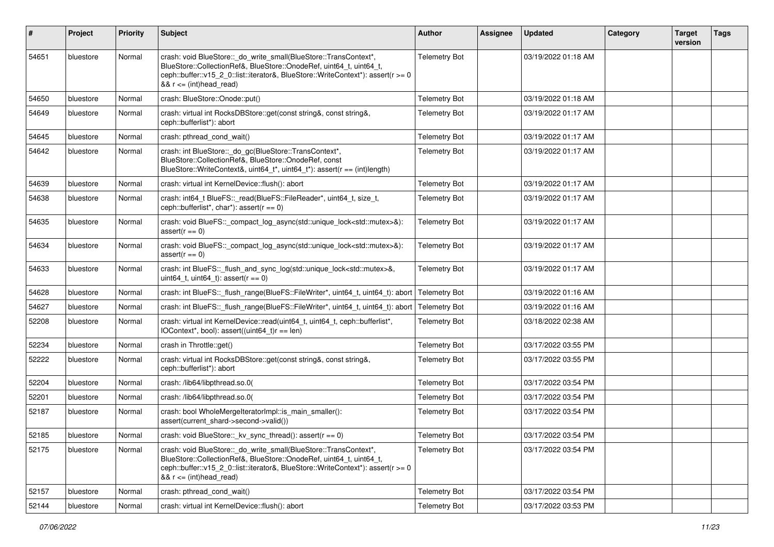| #     | Project   | <b>Priority</b> | Subject                                                                                                                                                                                                                                                  | Author               | <b>Assignee</b> | <b>Updated</b>      | Category | <b>Target</b><br>version | <b>Tags</b> |
|-------|-----------|-----------------|----------------------------------------------------------------------------------------------------------------------------------------------------------------------------------------------------------------------------------------------------------|----------------------|-----------------|---------------------|----------|--------------------------|-------------|
| 54651 | bluestore | Normal          | crash: void BlueStore::_do_write_small(BlueStore::TransContext*,<br>BlueStore::CollectionRef&, BlueStore::OnodeRef, uint64_t, uint64_t,<br>ceph::buffer::v15 2 0::list::iterator&, BlueStore::WriteContext*): assert(r >= 0<br>$&8$ r <= (int)head_read) | <b>Telemetry Bot</b> |                 | 03/19/2022 01:18 AM |          |                          |             |
| 54650 | bluestore | Normal          | crash: BlueStore::Onode::put()                                                                                                                                                                                                                           | <b>Telemetry Bot</b> |                 | 03/19/2022 01:18 AM |          |                          |             |
| 54649 | bluestore | Normal          | crash: virtual int RocksDBStore::get(const string&, const string&,<br>ceph::bufferlist*): abort                                                                                                                                                          | <b>Telemetry Bot</b> |                 | 03/19/2022 01:17 AM |          |                          |             |
| 54645 | bluestore | Normal          | crash: pthread cond wait()                                                                                                                                                                                                                               | <b>Telemetry Bot</b> |                 | 03/19/2022 01:17 AM |          |                          |             |
| 54642 | bluestore | Normal          | crash: int BlueStore::_do_gc(BlueStore::TransContext*,<br>BlueStore::CollectionRef&, BlueStore::OnodeRef, const<br>BlueStore::WriteContext&, uint64_t*, uint64_t*): assert(r == (int)length)                                                             | <b>Telemetry Bot</b> |                 | 03/19/2022 01:17 AM |          |                          |             |
| 54639 | bluestore | Normal          | crash: virtual int KernelDevice::flush(): abort                                                                                                                                                                                                          | <b>Telemetry Bot</b> |                 | 03/19/2022 01:17 AM |          |                          |             |
| 54638 | bluestore | Normal          | crash: int64_t BlueFS::_read(BlueFS::FileReader*, uint64_t, size_t,<br>ceph::bufferlist*, char*): assert( $r == 0$ )                                                                                                                                     | <b>Telemetry Bot</b> |                 | 03/19/2022 01:17 AM |          |                          |             |
| 54635 | bluestore | Normal          | crash: void BlueFS::_compact_log_async(std::unique_lock <std::mutex>&amp;):<br/><math>assert(r == 0)</math></std::mutex>                                                                                                                                 | <b>Telemetry Bot</b> |                 | 03/19/2022 01:17 AM |          |                          |             |
| 54634 | bluestore | Normal          | crash: void BlueFS::_compact_log_async(std::unique_lock <std::mutex>&amp;):<br/><math>assert(r == 0)</math></std::mutex>                                                                                                                                 | <b>Telemetry Bot</b> |                 | 03/19/2022 01:17 AM |          |                          |             |
| 54633 | bluestore | Normal          | crash: int BlueFS::_flush_and_sync_log(std::unique_lock <std::mutex>&amp;,<br/>uint64_t, uint64_t): assert(<math>r == 0</math>)</std::mutex>                                                                                                             | <b>Telemetry Bot</b> |                 | 03/19/2022 01:17 AM |          |                          |             |
| 54628 | bluestore | Normal          | crash: int BlueFS:: flush range(BlueFS::FileWriter*, uint64 t, uint64 t): abort                                                                                                                                                                          | <b>Telemetry Bot</b> |                 | 03/19/2022 01:16 AM |          |                          |             |
| 54627 | bluestore | Normal          | crash: int BlueFS::_flush_range(BlueFS::FileWriter*, uint64_t, uint64_t): abort                                                                                                                                                                          | <b>Telemetry Bot</b> |                 | 03/19/2022 01:16 AM |          |                          |             |
| 52208 | bluestore | Normal          | crash: virtual int KernelDevice::read(uint64_t, uint64_t, ceph::bufferlist*,<br>$IOContext*, bool): assert((uint64_t)r == len)$                                                                                                                          | <b>Telemetry Bot</b> |                 | 03/18/2022 02:38 AM |          |                          |             |
| 52234 | bluestore | Normal          | crash in Throttle::get()                                                                                                                                                                                                                                 | <b>Telemetry Bot</b> |                 | 03/17/2022 03:55 PM |          |                          |             |
| 52222 | bluestore | Normal          | crash: virtual int RocksDBStore::get(const string&, const string&,<br>ceph::bufferlist*): abort                                                                                                                                                          | <b>Telemetry Bot</b> |                 | 03/17/2022 03:55 PM |          |                          |             |
| 52204 | bluestore | Normal          | crash: /lib64/libpthread.so.0(                                                                                                                                                                                                                           | <b>Telemetry Bot</b> |                 | 03/17/2022 03:54 PM |          |                          |             |
| 52201 | bluestore | Normal          | crash: /lib64/libpthread.so.0(                                                                                                                                                                                                                           | <b>Telemetry Bot</b> |                 | 03/17/2022 03:54 PM |          |                          |             |
| 52187 | bluestore | Normal          | crash: bool WholeMergeIteratorImpl::is_main_smaller():<br>assert(current_shard->second->valid())                                                                                                                                                         | <b>Telemetry Bot</b> |                 | 03/17/2022 03:54 PM |          |                          |             |
| 52185 | bluestore | Normal          | crash: void BlueStore::_kv_sync_thread(): assert(r == 0)                                                                                                                                                                                                 | <b>Telemetry Bot</b> |                 | 03/17/2022 03:54 PM |          |                          |             |
| 52175 | bluestore | Normal          | crash: void BlueStore::_do_write_small(BlueStore::TransContext*,<br>BlueStore::CollectionRef&, BlueStore::OnodeRef, uint64_t, uint64_t,<br>ceph::buffer::v15_2_0::list::iterator&, BlueStore::WriteContext*): assert(r >= 0<br>$&x = (int)$ head_read)   | <b>Telemetry Bot</b> |                 | 03/17/2022 03:54 PM |          |                          |             |
| 52157 | bluestore | Normal          | crash: pthread_cond_wait()                                                                                                                                                                                                                               | <b>Telemetry Bot</b> |                 | 03/17/2022 03:54 PM |          |                          |             |
| 52144 | bluestore | Normal          | crash: virtual int KernelDevice::flush(): abort                                                                                                                                                                                                          | <b>Telemetry Bot</b> |                 | 03/17/2022 03:53 PM |          |                          |             |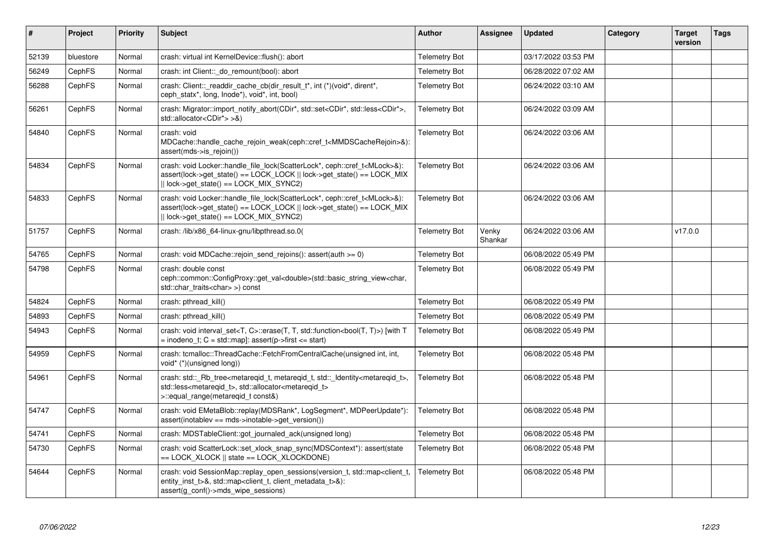| $\vert$ # | Project       | <b>Priority</b> | <b>Subject</b>                                                                                                                                                                                                                      | <b>Author</b>        | Assignee         | <b>Updated</b>      | Category | <b>Target</b><br>version | <b>Tags</b> |
|-----------|---------------|-----------------|-------------------------------------------------------------------------------------------------------------------------------------------------------------------------------------------------------------------------------------|----------------------|------------------|---------------------|----------|--------------------------|-------------|
| 52139     | bluestore     | Normal          | crash: virtual int KernelDevice::flush(): abort                                                                                                                                                                                     | <b>Telemetry Bot</b> |                  | 03/17/2022 03:53 PM |          |                          |             |
| 56249     | CephFS        | Normal          | crash: int Client::_do_remount(bool): abort                                                                                                                                                                                         | <b>Telemetry Bot</b> |                  | 06/28/2022 07:02 AM |          |                          |             |
| 56288     | CephFS        | Normal          | crash: Client::_readdir_cache_cb(dir_result_t*, int (*)(void*, dirent*,<br>ceph statx*, long, lnode*), void*, int, bool)                                                                                                            | <b>Telemetry Bot</b> |                  | 06/24/2022 03:10 AM |          |                          |             |
| 56261     | CephFS        | Normal          | crash: Migrator::import_notify_abort(CDir*, std::set <cdir*, std::less<cdir*="">,<br/>std::allocator<cdir*> &gt;&amp;)</cdir*></cdir*,>                                                                                             | <b>Telemetry Bot</b> |                  | 06/24/2022 03:09 AM |          |                          |             |
| 54840     | <b>CephFS</b> | Normal          | crash: void<br>MDCache::handle_cache_rejoin_weak(ceph::cref_t <mmdscacherejoin>&amp;):<br/>assert(mds-&gt;is_rejoin())</mmdscacherejoin>                                                                                            | <b>Telemetry Bot</b> |                  | 06/24/2022 03:06 AM |          |                          |             |
| 54834     | CephFS        | Normal          | crash: void Locker::handle_file_lock(ScatterLock*, ceph::cref_t <mlock>&amp;):<br/>assert(lock-&gt;get state() == LOCK LOCK    lock-&gt;get state() == LOCK MIX<br/>   lock-&gt;get_state() == LOCK_MIX_SYNC2)</mlock>              | <b>Telemetry Bot</b> |                  | 06/24/2022 03:06 AM |          |                          |             |
| 54833     | CephFS        | Normal          | crash: void Locker::handle_file_lock(ScatterLock*, ceph::cref_t <mlock>&amp;):<br/>assert(lock-&gt;get_state() == LOCK_LOCK    lock-&gt;get_state() == LOCK_MIX<br/><math>  </math> lock-&gt;get_state() == LOCK_MIX_SYNC2)</mlock> | <b>Telemetry Bot</b> |                  | 06/24/2022 03:06 AM |          |                          |             |
| 51757     | <b>CephFS</b> | Normal          | crash: /lib/x86 64-linux-gnu/libpthread.so.0(                                                                                                                                                                                       | <b>Telemetry Bot</b> | Venky<br>Shankar | 06/24/2022 03:06 AM |          | v17.0.0                  |             |
| 54765     | <b>CephFS</b> | Normal          | crash: void MDCache::rejoin send rejoins(): assert(auth $>= 0$ )                                                                                                                                                                    | <b>Telemetry Bot</b> |                  | 06/08/2022 05:49 PM |          |                          |             |
| 54798     | CephFS        | Normal          | crash: double const<br>ceph::common::ConfigProxy::get_val <double>(std::basic_string_view<char,<br>std::char_traits<char>&gt;) const</char></char,<br></double>                                                                     | <b>Telemetry Bot</b> |                  | 06/08/2022 05:49 PM |          |                          |             |
| 54824     | CephFS        | Normal          | crash: pthread kill()                                                                                                                                                                                                               | <b>Telemetry Bot</b> |                  | 06/08/2022 05:49 PM |          |                          |             |
| 54893     | <b>CephFS</b> | Normal          | crash: pthread kill()                                                                                                                                                                                                               | <b>Telemetry Bot</b> |                  | 06/08/2022 05:49 PM |          |                          |             |
| 54943     | CephFS        | Normal          | crash: void interval_set <t, c="">::erase(T, T, std::function<bool(t, t)="">) [with T<br/><math>=</math> inodeno t; C = std::map]: assert(p-&gt;first &lt;= start)</bool(t,></t,>                                                   | <b>Telemetry Bot</b> |                  | 06/08/2022 05:49 PM |          |                          |             |
| 54959     | <b>CephFS</b> | Normal          | crash: tcmalloc::ThreadCache::FetchFromCentralCache(unsigned int, int,<br>void* (*)(unsigned long))                                                                                                                                 | <b>Telemetry Bot</b> |                  | 06/08/2022 05:48 PM |          |                          |             |
| 54961     | CephFS        | Normal          | crash: std::_Rb_tree <metareqid_t, metareqid_t,="" std::_identity<metareqid_t="">,<br/>std::less<metareqid_t>, std::allocator<metareqid_t><br/>&gt;::equal range(metaregid t const&amp;)</metareqid_t></metareqid_t></metareqid_t,> | <b>Telemetry Bot</b> |                  | 06/08/2022 05:48 PM |          |                          |             |
| 54747     | CephFS        | Normal          | crash: void EMetaBlob::replay(MDSRank*, LogSegment*, MDPeerUpdate*):<br>$assert(inotablev == mds$ ->inotable->get_version())                                                                                                        | <b>Telemetry Bot</b> |                  | 06/08/2022 05:48 PM |          |                          |             |
| 54741     | CephFS        | Normal          | crash: MDSTableClient::got_journaled_ack(unsigned long)                                                                                                                                                                             | <b>Telemetry Bot</b> |                  | 06/08/2022 05:48 PM |          |                          |             |
| 54730     | CephFS        | Normal          | crash: void ScatterLock::set_xlock_snap_sync(MDSContext*): assert(state<br>$==$ LOCK XLOCK $  $ state $==$ LOCK XLOCKDONE)                                                                                                          | <b>Telemetry Bot</b> |                  | 06/08/2022 05:48 PM |          |                          |             |
| 54644     | CephFS        | Normal          | crash: void SessionMap::replay_open_sessions(version_t, std::map <client_t,<br>entity inst t&gt;&amp;, std::map<client client="" metadata="" t="" t,="">&amp;):<br/>assert(g_conf()-&gt;mds_wipe_sessions)</client></client_t,<br>  | <b>Telemetry Bot</b> |                  | 06/08/2022 05:48 PM |          |                          |             |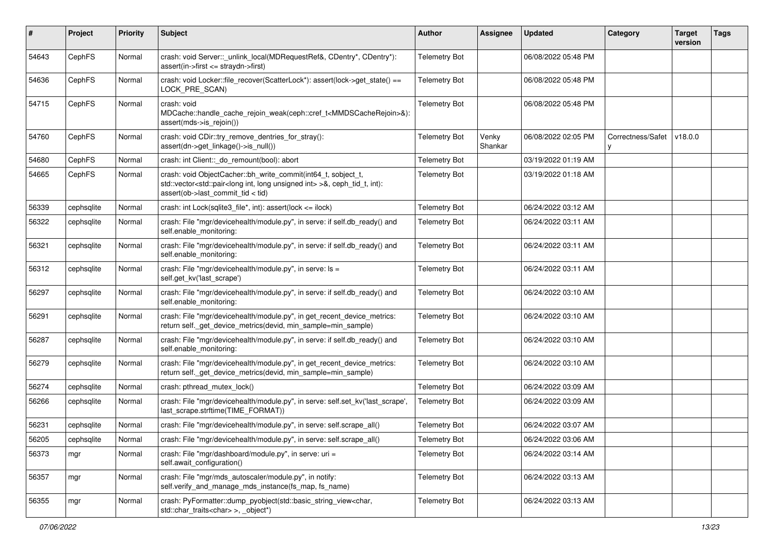| $\pmb{\#}$ | Project    | <b>Priority</b> | Subject                                                                                                                                                                                                                    | Author               | <b>Assignee</b>  | <b>Updated</b>      | Category          | <b>Target</b><br>version | <b>Tags</b> |
|------------|------------|-----------------|----------------------------------------------------------------------------------------------------------------------------------------------------------------------------------------------------------------------------|----------------------|------------------|---------------------|-------------------|--------------------------|-------------|
| 54643      | CephFS     | Normal          | crash: void Server::_unlink_local(MDRequestRef&, CDentry*, CDentry*):<br>assert(in->first <= straydn->first)                                                                                                               | <b>Telemetry Bot</b> |                  | 06/08/2022 05:48 PM |                   |                          |             |
| 54636      | CephFS     | Normal          | crash: void Locker::file_recover(ScatterLock*): assert(lock->get_state() ==<br>LOCK_PRE_SCAN)                                                                                                                              | <b>Telemetry Bot</b> |                  | 06/08/2022 05:48 PM |                   |                          |             |
| 54715      | CephFS     | Normal          | crash: void<br>MDCache::handle_cache_rejoin_weak(ceph::cref_t <mmdscacherejoin>&amp;):<br/>assert(mds-&gt;is_rejoin())</mmdscacherejoin>                                                                                   | <b>Telemetry Bot</b> |                  | 06/08/2022 05:48 PM |                   |                          |             |
| 54760      | CephFS     | Normal          | crash: void CDir::try_remove_dentries_for_stray():<br>assert(dn->get_linkage()->is_null())                                                                                                                                 | <b>Telemetry Bot</b> | Venky<br>Shankar | 06/08/2022 02:05 PM | Correctness/Safet | v18.0.0                  |             |
| 54680      | CephFS     | Normal          | crash: int Client:: do remount(bool): abort                                                                                                                                                                                | <b>Telemetry Bot</b> |                  | 03/19/2022 01:19 AM |                   |                          |             |
| 54665      | CephFS     | Normal          | crash: void ObjectCacher::bh_write_commit(int64_t, sobject_t,<br>std::vector <std::pair<long int="" int,="" long="" unsigned=""> &gt;&amp;, ceph_tid_t, int):<br/>assert(ob-&gt;last_commit_tid &lt; tid)</std::pair<long> | <b>Telemetry Bot</b> |                  | 03/19/2022 01:18 AM |                   |                          |             |
| 56339      | cephsqlite | Normal          | crash: int Lock(sqlite3_file*, int): assert(lock <= ilock)                                                                                                                                                                 | <b>Telemetry Bot</b> |                  | 06/24/2022 03:12 AM |                   |                          |             |
| 56322      | cephsqlite | Normal          | crash: File "mgr/devicehealth/module.py", in serve: if self.db_ready() and<br>self.enable_monitoring:                                                                                                                      | <b>Telemetry Bot</b> |                  | 06/24/2022 03:11 AM |                   |                          |             |
| 56321      | cephsqlite | Normal          | crash: File "mgr/devicehealth/module.py", in serve: if self.db_ready() and<br>self.enable_monitoring:                                                                                                                      | <b>Telemetry Bot</b> |                  | 06/24/2022 03:11 AM |                   |                          |             |
| 56312      | cephsqlite | Normal          | crash: File "mgr/devicehealth/module.py", in serve: ls =<br>self.get_kv('last_scrape')                                                                                                                                     | <b>Telemetry Bot</b> |                  | 06/24/2022 03:11 AM |                   |                          |             |
| 56297      | cephsqlite | Normal          | crash: File "mgr/devicehealth/module.py", in serve: if self.db_ready() and<br>self.enable_monitoring:                                                                                                                      | <b>Telemetry Bot</b> |                  | 06/24/2022 03:10 AM |                   |                          |             |
| 56291      | cephsqlite | Normal          | crash: File "mgr/devicehealth/module.py", in get_recent_device_metrics:<br>return self._get_device_metrics(devid, min_sample=min_sample)                                                                                   | <b>Telemetry Bot</b> |                  | 06/24/2022 03:10 AM |                   |                          |             |
| 56287      | cephsqlite | Normal          | crash: File "mgr/devicehealth/module.py", in serve: if self.db_ready() and<br>self.enable_monitoring:                                                                                                                      | <b>Telemetry Bot</b> |                  | 06/24/2022 03:10 AM |                   |                          |             |
| 56279      | cephsqlite | Normal          | crash: File "mgr/devicehealth/module.py", in get_recent_device_metrics:<br>return self._get_device_metrics(devid, min_sample=min_sample)                                                                                   | <b>Telemetry Bot</b> |                  | 06/24/2022 03:10 AM |                   |                          |             |
| 56274      | cephsqlite | Normal          | crash: pthread_mutex_lock()                                                                                                                                                                                                | <b>Telemetry Bot</b> |                  | 06/24/2022 03:09 AM |                   |                          |             |
| 56266      | cephsqlite | Normal          | crash: File "mgr/devicehealth/module.py", in serve: self.set_kv('last_scrape',<br>last_scrape.strftime(TIME_FORMAT))                                                                                                       | <b>Telemetry Bot</b> |                  | 06/24/2022 03:09 AM |                   |                          |             |
| 56231      | cephsqlite | Normal          | crash: File "mgr/devicehealth/module.py", in serve: self.scrape_all()                                                                                                                                                      | <b>Telemetry Bot</b> |                  | 06/24/2022 03:07 AM |                   |                          |             |
| 56205      | cephsqlite | Normal          | crash: File "mgr/devicehealth/module.py", in serve: self.scrape_all()                                                                                                                                                      | <b>Telemetry Bot</b> |                  | 06/24/2022 03:06 AM |                   |                          |             |
| 56373      | mgr        | Normal          | crash: File "mgr/dashboard/module.py", in serve: uri =<br>self.await_configuration()                                                                                                                                       | <b>Telemetry Bot</b> |                  | 06/24/2022 03:14 AM |                   |                          |             |
| 56357      | mgr        | Normal          | crash: File "mgr/mds_autoscaler/module.py", in notify:<br>self.verify_and_manage_mds_instance(fs_map, fs_name)                                                                                                             | <b>Telemetry Bot</b> |                  | 06/24/2022 03:13 AM |                   |                          |             |
| 56355      | mgr        | Normal          | crash: PyFormatter::dump_pyobject(std::basic_string_view <char,<br>std::char_traits<char>&gt;, _object*)</char></char,<br>                                                                                                 | <b>Telemetry Bot</b> |                  | 06/24/2022 03:13 AM |                   |                          |             |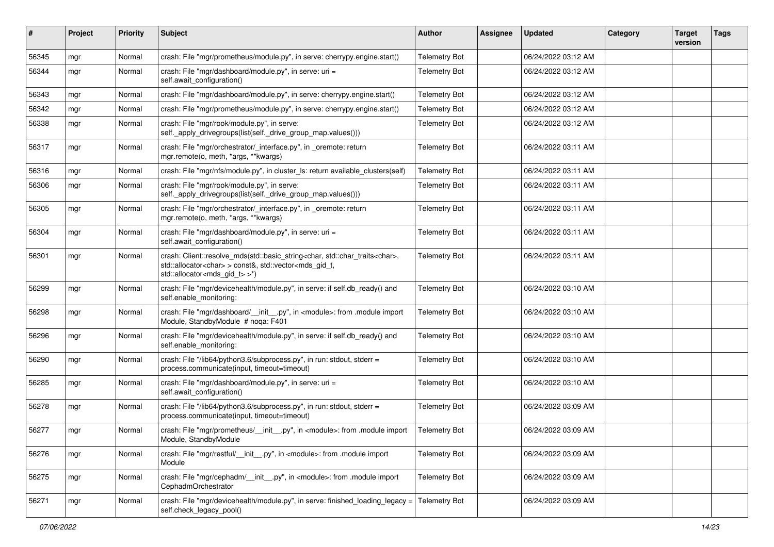| $\sharp$ | Project | <b>Priority</b> | Subject                                                                                                                                                                                                                        | <b>Author</b>        | Assignee | <b>Updated</b>      | Category | <b>Target</b><br>version | <b>Tags</b> |
|----------|---------|-----------------|--------------------------------------------------------------------------------------------------------------------------------------------------------------------------------------------------------------------------------|----------------------|----------|---------------------|----------|--------------------------|-------------|
| 56345    | mgr     | Normal          | crash: File "mgr/prometheus/module.py", in serve: cherrypy.engine.start()                                                                                                                                                      | <b>Telemetry Bot</b> |          | 06/24/2022 03:12 AM |          |                          |             |
| 56344    | mgr     | Normal          | crash: File "mgr/dashboard/module.py", in serve: uri =<br>self.await_configuration()                                                                                                                                           | <b>Telemetry Bot</b> |          | 06/24/2022 03:12 AM |          |                          |             |
| 56343    | mgr     | Normal          | crash: File "mgr/dashboard/module.py", in serve: cherrypy.engine.start()                                                                                                                                                       | <b>Telemetry Bot</b> |          | 06/24/2022 03:12 AM |          |                          |             |
| 56342    | mgr     | Normal          | crash: File "mgr/prometheus/module.py", in serve: cherrypy.engine.start()                                                                                                                                                      | <b>Telemetry Bot</b> |          | 06/24/2022 03:12 AM |          |                          |             |
| 56338    | mgr     | Normal          | crash: File "mgr/rook/module.py", in serve:<br>self._apply_drivegroups(list(self._drive_group_map.values()))                                                                                                                   | <b>Telemetry Bot</b> |          | 06/24/2022 03:12 AM |          |                          |             |
| 56317    | mgr     | Normal          | crash: File "mgr/orchestrator/_interface.py", in _oremote: return<br>mgr.remote(o, meth, *args, **kwargs)                                                                                                                      | <b>Telemetry Bot</b> |          | 06/24/2022 03:11 AM |          |                          |             |
| 56316    | mgr     | Normal          | crash: File "mgr/nfs/module.py", in cluster_ls: return available_clusters(self)                                                                                                                                                | <b>Telemetry Bot</b> |          | 06/24/2022 03:11 AM |          |                          |             |
| 56306    | mgr     | Normal          | crash: File "mgr/rook/module.py", in serve:<br>self._apply_drivegroups(list(self._drive_group_map.values()))                                                                                                                   | <b>Telemetry Bot</b> |          | 06/24/2022 03:11 AM |          |                          |             |
| 56305    | mgr     | Normal          | crash: File "mgr/orchestrator/_interface.py", in _oremote: return<br>mgr.remote(o, meth, *args, **kwargs)                                                                                                                      | <b>Telemetry Bot</b> |          | 06/24/2022 03:11 AM |          |                          |             |
| 56304    | mgr     | Normal          | crash: File "mgr/dashboard/module.py", in serve: uri =<br>self.await_configuration()                                                                                                                                           | <b>Telemetry Bot</b> |          | 06/24/2022 03:11 AM |          |                          |             |
| 56301    | mgr     | Normal          | crash: Client::resolve_mds(std::basic_string <char, std::char_traits<char="">,<br/>std::allocator<char> &gt; const&amp;, std::vector<mds_gid_t,<br>std::allocator<mds_gid_t> &gt;*)</mds_gid_t></mds_gid_t,<br></char></char,> | <b>Telemetry Bot</b> |          | 06/24/2022 03:11 AM |          |                          |             |
| 56299    | mgr     | Normal          | crash: File "mgr/devicehealth/module.py", in serve: if self.db_ready() and<br>self.enable_monitoring:                                                                                                                          | <b>Telemetry Bot</b> |          | 06/24/2022 03:10 AM |          |                          |             |
| 56298    | mgr     | Normal          | crash: File "mgr/dashboard/__init__.py", in <module>: from .module import<br/>Module, StandbyModule # noqa: F401</module>                                                                                                      | <b>Telemetry Bot</b> |          | 06/24/2022 03:10 AM |          |                          |             |
| 56296    | mgr     | Normal          | crash: File "mgr/devicehealth/module.py", in serve: if self.db_ready() and<br>self.enable_monitoring:                                                                                                                          | <b>Telemetry Bot</b> |          | 06/24/2022 03:10 AM |          |                          |             |
| 56290    | mgr     | Normal          | crash: File "/lib64/python3.6/subprocess.py", in run: stdout, stderr =<br>process.communicate(input, timeout=timeout)                                                                                                          | <b>Telemetry Bot</b> |          | 06/24/2022 03:10 AM |          |                          |             |
| 56285    | mgr     | Normal          | crash: File "mgr/dashboard/module.py", in serve: uri =<br>self.await configuration()                                                                                                                                           | <b>Telemetry Bot</b> |          | 06/24/2022 03:10 AM |          |                          |             |
| 56278    | mgr     | Normal          | crash: File "/lib64/python3.6/subprocess.py", in run: stdout, stderr =<br>process.communicate(input, timeout=timeout)                                                                                                          | <b>Telemetry Bot</b> |          | 06/24/2022 03:09 AM |          |                          |             |
| 56277    | mgr     | Normal          | crash: File "mgr/prometheus/__init__.py", in <module>: from .module import<br/>Module, StandbyModule</module>                                                                                                                  | <b>Telemetry Bot</b> |          | 06/24/2022 03:09 AM |          |                          |             |
| 56276    | mgr     | Normal          | crash: File "mgr/restful/__init__.py", in <module>: from .module import<br/>Module</module>                                                                                                                                    | <b>Telemetry Bot</b> |          | 06/24/2022 03:09 AM |          |                          |             |
| 56275    | mgr     | Normal          | crash: File "mgr/cephadm/__init__.py", in <module>: from .module import<br/>CephadmOrchestrator</module>                                                                                                                       | <b>Telemetry Bot</b> |          | 06/24/2022 03:09 AM |          |                          |             |
| 56271    | mgr     | Normal          | crash: File "mgr/devicehealth/module.py", in serve: finished_loading_legacy =<br>self.check_legacy_pool()                                                                                                                      | <b>Telemetry Bot</b> |          | 06/24/2022 03:09 AM |          |                          |             |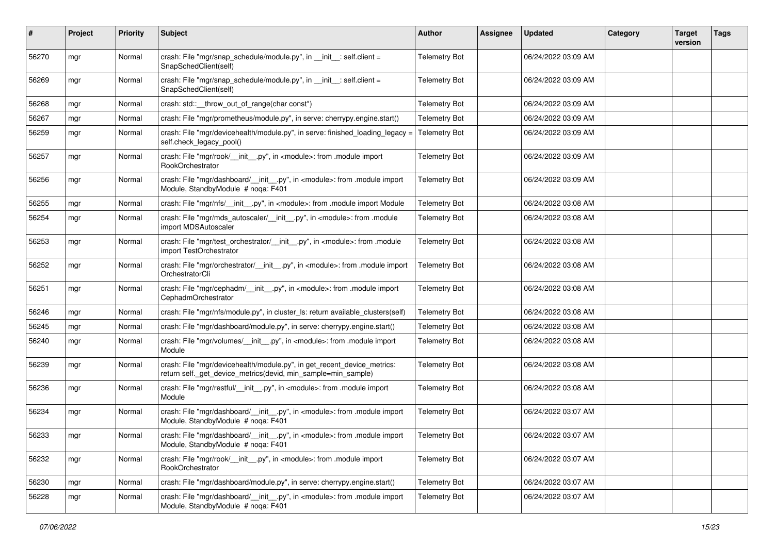| ∦     | Project | <b>Priority</b> | Subject                                                                                                                                  | Author               | <b>Assignee</b> | <b>Updated</b>      | Category | <b>Target</b><br>version | <b>Tags</b> |
|-------|---------|-----------------|------------------------------------------------------------------------------------------------------------------------------------------|----------------------|-----------------|---------------------|----------|--------------------------|-------------|
| 56270 | mgr     | Normal          | crash: File "mgr/snap_schedule/module.py", in __init__: self.client =<br>SnapSchedClient(self)                                           | <b>Telemetry Bot</b> |                 | 06/24/2022 03:09 AM |          |                          |             |
| 56269 | mgr     | Normal          | crash: File "mgr/snap_schedule/module.py", in __init__: self.client =<br>SnapSchedClient(self)                                           | <b>Telemetry Bot</b> |                 | 06/24/2022 03:09 AM |          |                          |             |
| 56268 | mgr     | Normal          | crash: std:: throw out of range(char const*)                                                                                             | <b>Telemetry Bot</b> |                 | 06/24/2022 03:09 AM |          |                          |             |
| 56267 | mgr     | Normal          | crash: File "mgr/prometheus/module.py", in serve: cherrypy.engine.start()                                                                | <b>Telemetry Bot</b> |                 | 06/24/2022 03:09 AM |          |                          |             |
| 56259 | mgr     | Normal          | crash: File "mgr/devicehealth/module.py", in serve: finished_loading_legacy =<br>self.check_legacy_pool()                                | <b>Telemetry Bot</b> |                 | 06/24/2022 03:09 AM |          |                          |             |
| 56257 | mgr     | Normal          | crash: File "mgr/rook/ __init __.py", in <module>: from .module import<br/>RookOrchestrator</module>                                     | <b>Telemetry Bot</b> |                 | 06/24/2022 03:09 AM |          |                          |             |
| 56256 | mgr     | Normal          | crash: File "mgr/dashboard/__init__.py", in <module>: from .module import<br/>Module, StandbyModule # noqa: F401</module>                | <b>Telemetry Bot</b> |                 | 06/24/2022 03:09 AM |          |                          |             |
| 56255 | mgr     | Normal          | crash: File "mgr/nfs/__init__.py", in <module>: from .module import Module</module>                                                      | <b>Telemetry Bot</b> |                 | 06/24/2022 03:08 AM |          |                          |             |
| 56254 | mgr     | Normal          | crash: File "mgr/mds_autoscaler/__init__.py", in <module>: from .module<br/>import MDSAutoscaler</module>                                | <b>Telemetry Bot</b> |                 | 06/24/2022 03:08 AM |          |                          |             |
| 56253 | mgr     | Normal          | crash: File "mgr/test_orchestrator/__init__.py", in <module>: from .module<br/>import TestOrchestrator</module>                          | <b>Telemetry Bot</b> |                 | 06/24/2022 03:08 AM |          |                          |             |
| 56252 | mgr     | Normal          | crash: File "mgr/orchestrator/_init_py", in <module>: from .module import<br/>OrchestratorCli</module>                                   | <b>Telemetry Bot</b> |                 | 06/24/2022 03:08 AM |          |                          |             |
| 56251 | mgr     | Normal          | crash: File "mgr/cephadm/__init__.py", in <module>: from .module import<br/>CephadmOrchestrator</module>                                 | <b>Telemetry Bot</b> |                 | 06/24/2022 03:08 AM |          |                          |             |
| 56246 | mgr     | Normal          | crash: File "mgr/nfs/module.py", in cluster_ls: return available_clusters(self)                                                          | <b>Telemetry Bot</b> |                 | 06/24/2022 03:08 AM |          |                          |             |
| 56245 | mgr     | Normal          | crash: File "mgr/dashboard/module.py", in serve: cherrypy.engine.start()                                                                 | <b>Telemetry Bot</b> |                 | 06/24/2022 03:08 AM |          |                          |             |
| 56240 | mgr     | Normal          | crash: File "mgr/volumes/__init__.py", in <module>: from .module import<br/>Module</module>                                              | <b>Telemetry Bot</b> |                 | 06/24/2022 03:08 AM |          |                          |             |
| 56239 | mgr     | Normal          | crash: File "mgr/devicehealth/module.py", in get_recent_device_metrics:<br>return self._get_device_metrics(devid, min_sample=min_sample) | <b>Telemetry Bot</b> |                 | 06/24/2022 03:08 AM |          |                          |             |
| 56236 | mgr     | Normal          | crash: File "mgr/restful/__init__.py", in <module>: from .module import<br/>Module</module>                                              | <b>Telemetry Bot</b> |                 | 06/24/2022 03:08 AM |          |                          |             |
| 56234 | mgr     | Normal          | crash: File "mgr/dashboard/__init__.py", in <module>: from .module import<br/>Module, StandbyModule # noqa: F401</module>                | <b>Telemetry Bot</b> |                 | 06/24/2022 03:07 AM |          |                          |             |
| 56233 | mgr     | Normal          | crash: File "mgr/dashboard/__init__.py", in <module>: from .module import<br/>Module, StandbyModule # noqa: F401</module>                | <b>Telemetry Bot</b> |                 | 06/24/2022 03:07 AM |          |                          |             |
| 56232 | mgr     | Normal          | crash: File "mgr/rook/__init__.py", in <module>: from .module import<br/>RookOrchestrator</module>                                       | <b>Telemetry Bot</b> |                 | 06/24/2022 03:07 AM |          |                          |             |
| 56230 | mgr     | Normal          | crash: File "mgr/dashboard/module.py", in serve: cherrypy.engine.start()                                                                 | <b>Telemetry Bot</b> |                 | 06/24/2022 03:07 AM |          |                          |             |
| 56228 | mgr     | Normal          | crash: File "mgr/dashboard/__init__.py", in <module>: from .module import<br/>Module, StandbyModule # noqa: F401</module>                | <b>Telemetry Bot</b> |                 | 06/24/2022 03:07 AM |          |                          |             |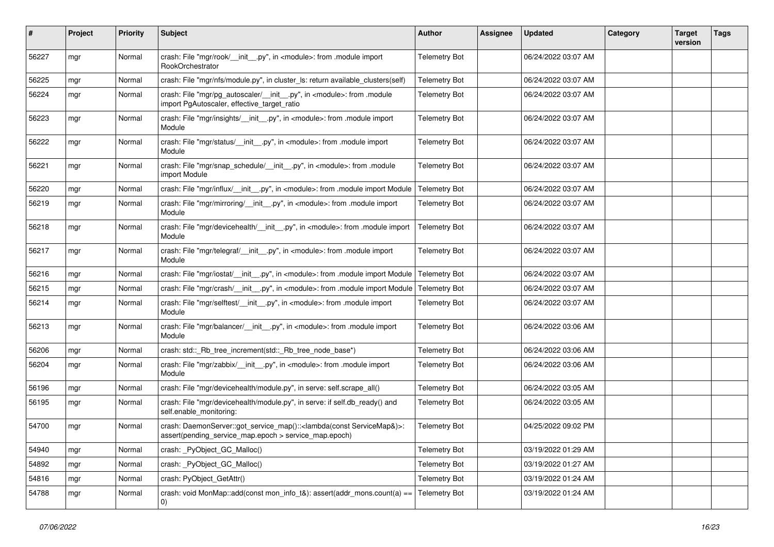| #     | Project | <b>Priority</b> | <b>Subject</b>                                                                                                                                       | Author               | Assignee | <b>Updated</b>      | Category | <b>Target</b><br>version | <b>Tags</b> |
|-------|---------|-----------------|------------------------------------------------------------------------------------------------------------------------------------------------------|----------------------|----------|---------------------|----------|--------------------------|-------------|
| 56227 | mgr     | Normal          | crash: File "mgr/rook/__init__.py", in <module>: from .module import<br/>RookOrchestrator</module>                                                   | <b>Telemetry Bot</b> |          | 06/24/2022 03:07 AM |          |                          |             |
| 56225 | mgr     | Normal          | crash: File "mgr/nfs/module.py", in cluster_ls: return available_clusters(self)                                                                      | <b>Telemetry Bot</b> |          | 06/24/2022 03:07 AM |          |                          |             |
| 56224 | mgr     | Normal          | crash: File "mgr/pg_autoscaler/__init__.py", in <module>: from .module<br/>import PgAutoscaler, effective_target_ratio</module>                      | <b>Telemetry Bot</b> |          | 06/24/2022 03:07 AM |          |                          |             |
| 56223 | mgr     | Normal          | crash: File "mgr/insights/__init__.py", in <module>: from .module import<br/>Module</module>                                                         | <b>Telemetry Bot</b> |          | 06/24/2022 03:07 AM |          |                          |             |
| 56222 | mgr     | Normal          | crash: File "mgr/status/__init__.py", in <module>: from .module import<br/>Module</module>                                                           | <b>Telemetry Bot</b> |          | 06/24/2022 03:07 AM |          |                          |             |
| 56221 | mgr     | Normal          | crash: File "mgr/snap_schedule/__init__.py", in <module>: from .module<br/>import Module</module>                                                    | <b>Telemetry Bot</b> |          | 06/24/2022 03:07 AM |          |                          |             |
| 56220 | mgr     | Normal          | crash: File "mgr/influx/__init__.py", in <module>: from .module import Module</module>                                                               | <b>Telemetry Bot</b> |          | 06/24/2022 03:07 AM |          |                          |             |
| 56219 | mgr     | Normal          | crash: File "mgr/mirroring/_init__.py", in <module>: from .module import<br/>Module</module>                                                         | <b>Telemetry Bot</b> |          | 06/24/2022 03:07 AM |          |                          |             |
| 56218 | mgr     | Normal          | crash: File "mgr/devicehealth/__init__.py", in <module>: from .module import<br/>Module</module>                                                     | <b>Telemetry Bot</b> |          | 06/24/2022 03:07 AM |          |                          |             |
| 56217 | mgr     | Normal          | crash: File "mgr/telegraf/_init_.py", in <module>: from .module import<br/>Module</module>                                                           | <b>Telemetry Bot</b> |          | 06/24/2022 03:07 AM |          |                          |             |
| 56216 | mgr     | Normal          | crash: File "mgr/iostat/__init__.py", in <module>: from .module import Module</module>                                                               | <b>Telemetry Bot</b> |          | 06/24/2022 03:07 AM |          |                          |             |
| 56215 | mgr     | Normal          | crash: File "mgr/crash/__init__.py", in <module>: from .module import Module</module>                                                                | <b>Telemetry Bot</b> |          | 06/24/2022 03:07 AM |          |                          |             |
| 56214 | mgr     | Normal          | crash: File "mgr/selftest/__init__.py", in <module>: from .module import<br/>Module</module>                                                         | <b>Telemetry Bot</b> |          | 06/24/2022 03:07 AM |          |                          |             |
| 56213 | mgr     | Normal          | crash: File "mgr/balancer/__init__.py", in <module>: from .module import<br/>Module</module>                                                         | <b>Telemetry Bot</b> |          | 06/24/2022 03:06 AM |          |                          |             |
| 56206 | mgr     | Normal          | crash: std::_Rb_tree_increment(std::_Rb_tree_node_base*)                                                                                             | <b>Telemetry Bot</b> |          | 06/24/2022 03:06 AM |          |                          |             |
| 56204 | mgr     | Normal          | crash: File "mgr/zabbix/__init__.py", in <module>: from .module import<br/>Module</module>                                                           | <b>Telemetry Bot</b> |          | 06/24/2022 03:06 AM |          |                          |             |
| 56196 | mgr     | Normal          | crash: File "mgr/devicehealth/module.py", in serve: self.scrape_all()                                                                                | <b>Telemetry Bot</b> |          | 06/24/2022 03:05 AM |          |                          |             |
| 56195 | mgr     | Normal          | crash: File "mgr/devicehealth/module.py", in serve: if self.db_ready() and<br>self.enable_monitoring:                                                | <b>Telemetry Bot</b> |          | 06/24/2022 03:05 AM |          |                          |             |
| 54700 | mgr     | Normal          | crash: DaemonServer::got_service_map():: <lambda(const servicemap&)="">:<br/>assert(pending_service_map.epoch &gt; service_map.epoch)</lambda(const> | <b>Telemetry Bot</b> |          | 04/25/2022 09:02 PM |          |                          |             |
| 54940 | mgr     | Normal          | crash: _PyObject_GC_Malloc()                                                                                                                         | <b>Telemetry Bot</b> |          | 03/19/2022 01:29 AM |          |                          |             |
| 54892 | mgr     | Normal          | crash: PyObject GC Malloc()                                                                                                                          | <b>Telemetry Bot</b> |          | 03/19/2022 01:27 AM |          |                          |             |
| 54816 | mgr     | Normal          | crash: PyObject_GetAttr()                                                                                                                            | <b>Telemetry Bot</b> |          | 03/19/2022 01:24 AM |          |                          |             |
| 54788 | mgr     | Normal          | crash: void MonMap::add(const mon_info_t&): assert(addr_mons.count(a) ==<br>0)                                                                       | <b>Telemetry Bot</b> |          | 03/19/2022 01:24 AM |          |                          |             |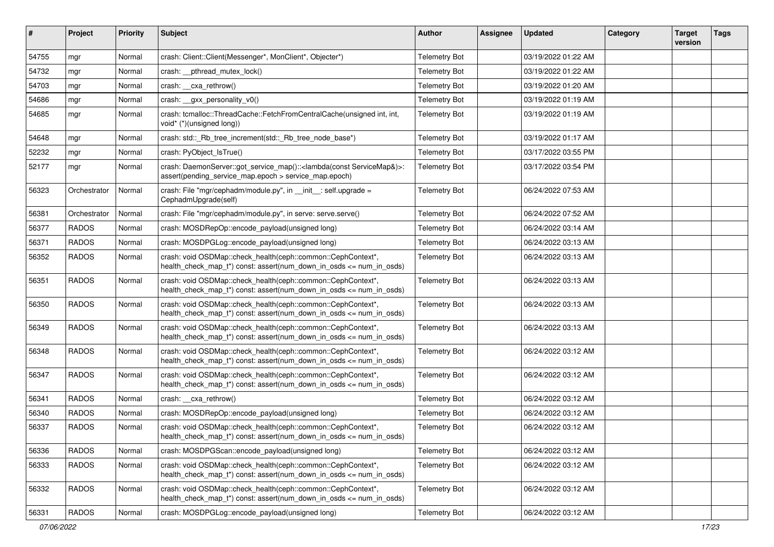| $\pmb{\#}$ | Project      | <b>Priority</b> | <b>Subject</b>                                                                                                                                       | <b>Author</b>        | Assignee | <b>Updated</b>      | Category | <b>Target</b><br>version | <b>Tags</b> |
|------------|--------------|-----------------|------------------------------------------------------------------------------------------------------------------------------------------------------|----------------------|----------|---------------------|----------|--------------------------|-------------|
| 54755      | mgr          | Normal          | crash: Client::Client(Messenger*, MonClient*, Objecter*)                                                                                             | <b>Telemetry Bot</b> |          | 03/19/2022 01:22 AM |          |                          |             |
| 54732      | mgr          | Normal          | crash: pthread mutex lock()                                                                                                                          | <b>Telemetry Bot</b> |          | 03/19/2022 01:22 AM |          |                          |             |
| 54703      | mgr          | Normal          | crash: __cxa_rethrow()                                                                                                                               | <b>Telemetry Bot</b> |          | 03/19/2022 01:20 AM |          |                          |             |
| 54686      | mgr          | Normal          | crash: gxx personality v0()                                                                                                                          | <b>Telemetry Bot</b> |          | 03/19/2022 01:19 AM |          |                          |             |
| 54685      | mgr          | Normal          | crash: tcmalloc::ThreadCache::FetchFromCentralCache(unsigned int, int,<br>void* (*)(unsigned long))                                                  | <b>Telemetry Bot</b> |          | 03/19/2022 01:19 AM |          |                          |             |
| 54648      | mgr          | Normal          | crash: std:: Rb tree increment(std:: Rb tree node base*)                                                                                             | <b>Telemetry Bot</b> |          | 03/19/2022 01:17 AM |          |                          |             |
| 52232      | mgr          | Normal          | crash: PyObject_IsTrue()                                                                                                                             | <b>Telemetry Bot</b> |          | 03/17/2022 03:55 PM |          |                          |             |
| 52177      | mgr          | Normal          | crash: DaemonServer::got_service_map():: <lambda(const servicemap&)="">:<br/>assert(pending_service_map.epoch &gt; service_map.epoch)</lambda(const> | <b>Telemetry Bot</b> |          | 03/17/2022 03:54 PM |          |                          |             |
| 56323      | Orchestrator | Normal          | crash: File "mgr/cephadm/module.py", in __init__: self.upgrade =<br>CephadmUpgrade(self)                                                             | <b>Telemetry Bot</b> |          | 06/24/2022 07:53 AM |          |                          |             |
| 56381      | Orchestrator | Normal          | crash: File "mgr/cephadm/module.py", in serve: serve.serve()                                                                                         | <b>Telemetry Bot</b> |          | 06/24/2022 07:52 AM |          |                          |             |
| 56377      | <b>RADOS</b> | Normal          | crash: MOSDRepOp::encode_payload(unsigned long)                                                                                                      | <b>Telemetry Bot</b> |          | 06/24/2022 03:14 AM |          |                          |             |
| 56371      | <b>RADOS</b> | Normal          | crash: MOSDPGLog::encode_payload(unsigned long)                                                                                                      | <b>Telemetry Bot</b> |          | 06/24/2022 03:13 AM |          |                          |             |
| 56352      | <b>RADOS</b> | Normal          | crash: void OSDMap::check_health(ceph::common::CephContext*,<br>health_check_map_t*)    const: assert(num_down_in_osds <= num_in_osds)               | <b>Telemetry Bot</b> |          | 06/24/2022 03:13 AM |          |                          |             |
| 56351      | <b>RADOS</b> | Normal          | crash: void OSDMap::check_health(ceph::common::CephContext*,<br>health_check_map_t*) const: assert(num_down_in_osds <= num_in_osds)                  | <b>Telemetry Bot</b> |          | 06/24/2022 03:13 AM |          |                          |             |
| 56350      | <b>RADOS</b> | Normal          | crash: void OSDMap::check_health(ceph::common::CephContext*,<br>health_check_map_t*) const: assert(num_down_in_osds <= num_in_osds)                  | <b>Telemetry Bot</b> |          | 06/24/2022 03:13 AM |          |                          |             |
| 56349      | <b>RADOS</b> | Normal          | crash: void OSDMap::check_health(ceph::common::CephContext*,<br>health_check_map_t*) const: assert(num_down_in_osds <= num_in_osds)                  | <b>Telemetry Bot</b> |          | 06/24/2022 03:13 AM |          |                          |             |
| 56348      | <b>RADOS</b> | Normal          | crash: void OSDMap::check_health(ceph::common::CephContext*,<br>health_check_map_t*)    const: assert(num_down_in_osds <= num_in_osds)               | <b>Telemetry Bot</b> |          | 06/24/2022 03:12 AM |          |                          |             |
| 56347      | <b>RADOS</b> | Normal          | crash: void OSDMap::check_health(ceph::common::CephContext*,<br>health_check_map_t*) const: assert(num_down_in_osds <= num_in_osds)                  | <b>Telemetry Bot</b> |          | 06/24/2022 03:12 AM |          |                          |             |
| 56341      | <b>RADOS</b> | Normal          | crash: cxa_rethrow()                                                                                                                                 | <b>Telemetry Bot</b> |          | 06/24/2022 03:12 AM |          |                          |             |
| 56340      | <b>RADOS</b> | Normal          | crash: MOSDRepOp::encode_payload(unsigned long)                                                                                                      | <b>Telemetry Bot</b> |          | 06/24/2022 03:12 AM |          |                          |             |
| 56337      | <b>RADOS</b> | Normal          | crash: void OSDMap::check_health(ceph::common::CephContext*,<br>health_check_map_t*)        const: assert(num_down_in_osds <= num_in_osds)           | <b>Telemetry Bot</b> |          | 06/24/2022 03:12 AM |          |                          |             |
| 56336      | <b>RADOS</b> | Normal          | crash: MOSDPGScan::encode_payload(unsigned long)                                                                                                     | <b>Telemetry Bot</b> |          | 06/24/2022 03:12 AM |          |                          |             |
| 56333      | <b>RADOS</b> | Normal          | crash: void OSDMap::check_health(ceph::common::CephContext*,<br>health_check_map_t*) const: assert(num_down_in_osds <= num_in_osds)                  | <b>Telemetry Bot</b> |          | 06/24/2022 03:12 AM |          |                          |             |
| 56332      | <b>RADOS</b> | Normal          | crash: void OSDMap::check_health(ceph::common::CephContext*,<br>health check map $t^*$ ) const: assert(num down in osds $\leq$ num in osds)          | <b>Telemetry Bot</b> |          | 06/24/2022 03:12 AM |          |                          |             |
| 56331      | <b>RADOS</b> | Normal          | crash: MOSDPGLog::encode payload(unsigned long)                                                                                                      | <b>Telemetry Bot</b> |          | 06/24/2022 03:12 AM |          |                          |             |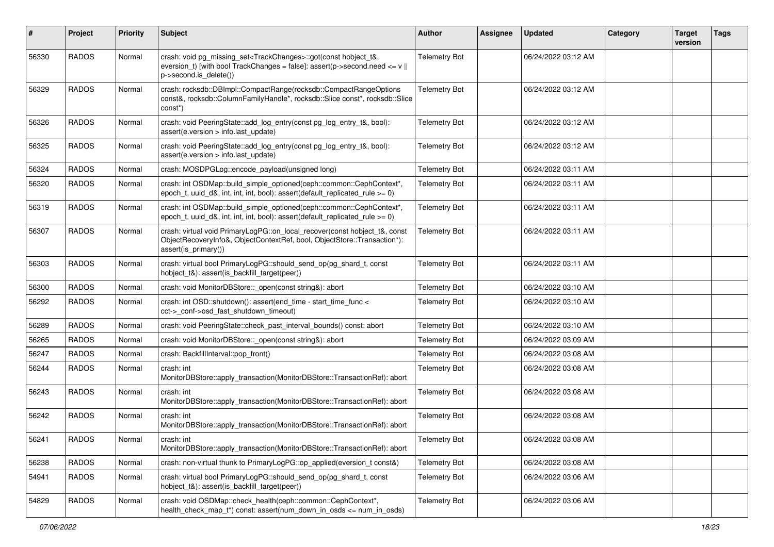| #     | Project      | <b>Priority</b> | Subject                                                                                                                                                                                                              | <b>Author</b>        | <b>Assignee</b> | <b>Updated</b>      | Category | <b>Target</b><br>version | <b>Tags</b> |
|-------|--------------|-----------------|----------------------------------------------------------------------------------------------------------------------------------------------------------------------------------------------------------------------|----------------------|-----------------|---------------------|----------|--------------------------|-------------|
| 56330 | <b>RADOS</b> | Normal          | crash: void pg_missing_set <trackchanges>::got(const hobject_t&amp;,<br/>eversion_t) [with bool TrackChanges = false]: assert(p-&gt;second.need &lt;= <math>v</math>   <br/>p-&gt;second.is_delete())</trackchanges> | <b>Telemetry Bot</b> |                 | 06/24/2022 03:12 AM |          |                          |             |
| 56329 | <b>RADOS</b> | Normal          | crash: rocksdb::DBImpl::CompactRange(rocksdb::CompactRangeOptions<br>const&, rocksdb::ColumnFamilyHandle*, rocksdb::Slice const*, rocksdb::Slice<br>const*)                                                          | <b>Telemetry Bot</b> |                 | 06/24/2022 03:12 AM |          |                          |             |
| 56326 | <b>RADOS</b> | Normal          | crash: void PeeringState::add_log_entry(const pg_log_entry_t&, bool):<br>assert(e.version > info.last update)                                                                                                        | <b>Telemetry Bot</b> |                 | 06/24/2022 03:12 AM |          |                          |             |
| 56325 | <b>RADOS</b> | Normal          | crash: void PeeringState::add_log_entry(const pg_log_entry_t&, bool):<br>assert(e.version > info.last update)                                                                                                        | <b>Telemetry Bot</b> |                 | 06/24/2022 03:12 AM |          |                          |             |
| 56324 | <b>RADOS</b> | Normal          | crash: MOSDPGLog::encode_payload(unsigned long)                                                                                                                                                                      | <b>Telemetry Bot</b> |                 | 06/24/2022 03:11 AM |          |                          |             |
| 56320 | <b>RADOS</b> | Normal          | crash: int OSDMap::build_simple_optioned(ceph::common::CephContext*,<br>epoch_t, uuid_d&, int, int, int, bool): assert(default_replicated_rule $>= 0$ )                                                              | <b>Telemetry Bot</b> |                 | 06/24/2022 03:11 AM |          |                          |             |
| 56319 | <b>RADOS</b> | Normal          | crash: int OSDMap::build_simple_optioned(ceph::common::CephContext*,<br>epoch_t, uuid_d&, int, int, int, bool): assert(default_replicated_rule >= 0)                                                                 | <b>Telemetry Bot</b> |                 | 06/24/2022 03:11 AM |          |                          |             |
| 56307 | <b>RADOS</b> | Normal          | crash: virtual void PrimaryLogPG::on_local_recover(const hobject_t&, const<br>ObjectRecoveryInfo&, ObjectContextRef, bool, ObjectStore::Transaction*):<br>assert(is_primary())                                       | <b>Telemetry Bot</b> |                 | 06/24/2022 03:11 AM |          |                          |             |
| 56303 | <b>RADOS</b> | Normal          | crash: virtual bool PrimaryLogPG::should_send_op(pg_shard_t, const                                                                                                                                                   | <b>Telemetry Bot</b> |                 | 06/24/2022 03:11 AM |          |                          |             |
| 56300 | <b>RADOS</b> | Normal          | crash: void MonitorDBStore:: open(const string&): abort                                                                                                                                                              | <b>Telemetry Bot</b> |                 | 06/24/2022 03:10 AM |          |                          |             |
| 56292 | <b>RADOS</b> | Normal          | crash: int OSD::shutdown(): assert(end_time - start_time_func <<br>cct->_conf->osd_fast_shutdown_timeout)                                                                                                            | <b>Telemetry Bot</b> |                 | 06/24/2022 03:10 AM |          |                          |             |
| 56289 | <b>RADOS</b> | Normal          | crash: void PeeringState::check_past_interval_bounds() const: abort                                                                                                                                                  | <b>Telemetry Bot</b> |                 | 06/24/2022 03:10 AM |          |                          |             |
| 56265 | <b>RADOS</b> | Normal          | crash: void MonitorDBStore::_open(const string&): abort                                                                                                                                                              | <b>Telemetry Bot</b> |                 | 06/24/2022 03:09 AM |          |                          |             |
| 56247 | <b>RADOS</b> | Normal          | crash: BackfillInterval::pop_front()                                                                                                                                                                                 | <b>Telemetry Bot</b> |                 | 06/24/2022 03:08 AM |          |                          |             |
| 56244 | <b>RADOS</b> | Normal          | crash: int<br>MonitorDBStore::apply_transaction(MonitorDBStore::TransactionRef): abort                                                                                                                               | <b>Telemetry Bot</b> |                 | 06/24/2022 03:08 AM |          |                          |             |
| 56243 | <b>RADOS</b> | Normal          | crash: int<br>MonitorDBStore::apply_transaction(MonitorDBStore::TransactionRef): abort                                                                                                                               | <b>Telemetry Bot</b> |                 | 06/24/2022 03:08 AM |          |                          |             |
| 56242 | <b>RADOS</b> | Normal          | crash: int<br>MonitorDBStore::apply_transaction(MonitorDBStore::TransactionRef): abort                                                                                                                               | <b>Telemetry Bot</b> |                 | 06/24/2022 03:08 AM |          |                          |             |
| 56241 | <b>RADOS</b> | Normal          | crash: int<br>MonitorDBStore::apply_transaction(MonitorDBStore::TransactionRef): abort                                                                                                                               | <b>Telemetry Bot</b> |                 | 06/24/2022 03:08 AM |          |                          |             |
| 56238 | <b>RADOS</b> | Normal          | crash: non-virtual thunk to PrimaryLogPG::op applied(eversion t const&)                                                                                                                                              | <b>Telemetry Bot</b> |                 | 06/24/2022 03:08 AM |          |                          |             |
| 54941 | RADOS        | Normal          | crash: virtual bool PrimaryLogPG::should_send_op(pg_shard_t, const                                                                                                                                                   | <b>Telemetry Bot</b> |                 | 06/24/2022 03:06 AM |          |                          |             |
| 54829 | <b>RADOS</b> | Normal          | crash: void OSDMap::check_health(ceph::common::CephContext*,<br>health_check_map_t*)    const: assert(num_down_in_osds <= num_in_osds)                                                                               | <b>Telemetry Bot</b> |                 | 06/24/2022 03:06 AM |          |                          |             |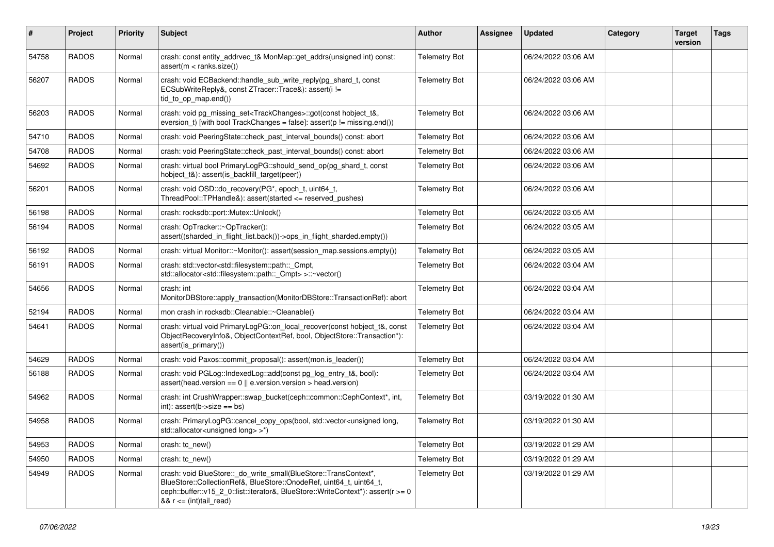| $\vert$ # | Project      | <b>Priority</b> | Subject                                                                                                                                                                                                                                                           | <b>Author</b>        | <b>Assignee</b> | <b>Updated</b>      | Category | <b>Target</b><br>version | <b>Tags</b> |
|-----------|--------------|-----------------|-------------------------------------------------------------------------------------------------------------------------------------------------------------------------------------------------------------------------------------------------------------------|----------------------|-----------------|---------------------|----------|--------------------------|-------------|
| 54758     | <b>RADOS</b> | Normal          | crash: const entity_addrvec_t& MonMap::get_addrs(unsigned int) const:<br>assert(m < ranks.size())                                                                                                                                                                 | <b>Telemetry Bot</b> |                 | 06/24/2022 03:06 AM |          |                          |             |
| 56207     | <b>RADOS</b> | Normal          | crash: void ECBackend::handle_sub_write_reply(pg_shard_t, const<br>ECSubWriteReply&, const ZTracer::Trace&): assert(i !=<br>tid_to_op_map.end())                                                                                                                  | <b>Telemetry Bot</b> |                 | 06/24/2022 03:06 AM |          |                          |             |
| 56203     | <b>RADOS</b> | Normal          | crash: void pg_missing_set <trackchanges>::got(const hobject_t&amp;,<br/>eversion_t) [with bool TrackChanges = false]: <math>assert(p != missing.end())</math></trackchanges>                                                                                     | <b>Telemetry Bot</b> |                 | 06/24/2022 03:06 AM |          |                          |             |
| 54710     | <b>RADOS</b> | Normal          | crash: void PeeringState::check_past_interval_bounds() const: abort                                                                                                                                                                                               | <b>Telemetry Bot</b> |                 | 06/24/2022 03:06 AM |          |                          |             |
| 54708     | <b>RADOS</b> | Normal          | crash: void PeeringState::check past interval bounds() const: abort                                                                                                                                                                                               | <b>Telemetry Bot</b> |                 | 06/24/2022 03:06 AM |          |                          |             |
| 54692     | <b>RADOS</b> | Normal          | crash: virtual bool PrimaryLogPG::should_send_op(pg_shard_t, const                                                                                                                                                                                                | <b>Telemetry Bot</b> |                 | 06/24/2022 03:06 AM |          |                          |             |
| 56201     | <b>RADOS</b> | Normal          | crash: void OSD::do_recovery(PG*, epoch_t, uint64_t,<br>ThreadPool::TPHandle&): assert(started <= reserved_pushes)                                                                                                                                                | <b>Telemetry Bot</b> |                 | 06/24/2022 03:06 AM |          |                          |             |
| 56198     | <b>RADOS</b> | Normal          | crash: rocksdb::port::Mutex::Unlock()                                                                                                                                                                                                                             | <b>Telemetry Bot</b> |                 | 06/24/2022 03:05 AM |          |                          |             |
| 56194     | <b>RADOS</b> | Normal          | crash: OpTracker::~OpTracker():<br>assert((sharded_in_flight_list.back())->ops_in_flight_sharded.empty())                                                                                                                                                         | <b>Telemetry Bot</b> |                 | 06/24/2022 03:05 AM |          |                          |             |
| 56192     | <b>RADOS</b> | Normal          | crash: virtual Monitor::~Monitor(): assert(session_map.sessions.empty())                                                                                                                                                                                          | <b>Telemetry Bot</b> |                 | 06/24/2022 03:05 AM |          |                          |             |
| 56191     | <b>RADOS</b> | Normal          | crash: std::vector <std::filesystem::path::_cmpt,<br>std::allocator<std::filesystem::path::_cmpt> &gt;::~vector()</std::filesystem::path::_cmpt></std::filesystem::path::_cmpt,<br>                                                                               | <b>Telemetry Bot</b> |                 | 06/24/2022 03:04 AM |          |                          |             |
| 54656     | <b>RADOS</b> | Normal          | crash: int<br>MonitorDBStore::apply transaction(MonitorDBStore::TransactionRef): abort                                                                                                                                                                            | <b>Telemetry Bot</b> |                 | 06/24/2022 03:04 AM |          |                          |             |
| 52194     | <b>RADOS</b> | Normal          | mon crash in rocksdb::Cleanable::~Cleanable()                                                                                                                                                                                                                     | <b>Telemetry Bot</b> |                 | 06/24/2022 03:04 AM |          |                          |             |
| 54641     | <b>RADOS</b> | Normal          | crash: virtual void PrimaryLogPG::on_local_recover(const hobject_t&, const<br>ObjectRecoveryInfo&, ObjectContextRef, bool, ObjectStore::Transaction*):<br>assert(is_primary())                                                                                    | <b>Telemetry Bot</b> |                 | 06/24/2022 03:04 AM |          |                          |             |
| 54629     | <b>RADOS</b> | Normal          | crash: void Paxos::commit_proposal(): assert(mon.is_leader())                                                                                                                                                                                                     | <b>Telemetry Bot</b> |                 | 06/24/2022 03:04 AM |          |                          |             |
| 56188     | <b>RADOS</b> | Normal          | crash: void PGLog::IndexedLog::add(const pg_log_entry_t&, bool):<br>$assert(head.version == 0    e.version.version > head.version)$                                                                                                                               | <b>Telemetry Bot</b> |                 | 06/24/2022 03:04 AM |          |                          |             |
| 54962     | <b>RADOS</b> | Normal          | crash: int CrushWrapper::swap_bucket(ceph::common::CephContext*, int,<br>$int$ : assert(b->size == bs)                                                                                                                                                            | <b>Telemetry Bot</b> |                 | 03/19/2022 01:30 AM |          |                          |             |
| 54958     | <b>RADOS</b> | Normal          | crash: PrimaryLogPG::cancel_copy_ops(bool, std::vector <unsigned long,<br="">std::allocator<unsigned long=""> &gt;*)</unsigned></unsigned>                                                                                                                        | <b>Telemetry Bot</b> |                 | 03/19/2022 01:30 AM |          |                          |             |
| 54953     | <b>RADOS</b> | Normal          | crash: tc_new()                                                                                                                                                                                                                                                   | <b>Telemetry Bot</b> |                 | 03/19/2022 01:29 AM |          |                          |             |
| 54950     | <b>RADOS</b> | Normal          | crash: tc_new()                                                                                                                                                                                                                                                   | <b>Telemetry Bot</b> |                 | 03/19/2022 01:29 AM |          |                          |             |
| 54949     | <b>RADOS</b> | Normal          | crash: void BlueStore:: do_write_small(BlueStore::TransContext*,<br>BlueStore::CollectionRef&, BlueStore::OnodeRef, uint64_t, uint64_t,<br>ceph::buffer::v15_2_0::list::iterator&, BlueStore::WriteContext*): assert(r >= 0<br>$& 8 & r \leq (int) \ntail\_read)$ | <b>Telemetry Bot</b> |                 | 03/19/2022 01:29 AM |          |                          |             |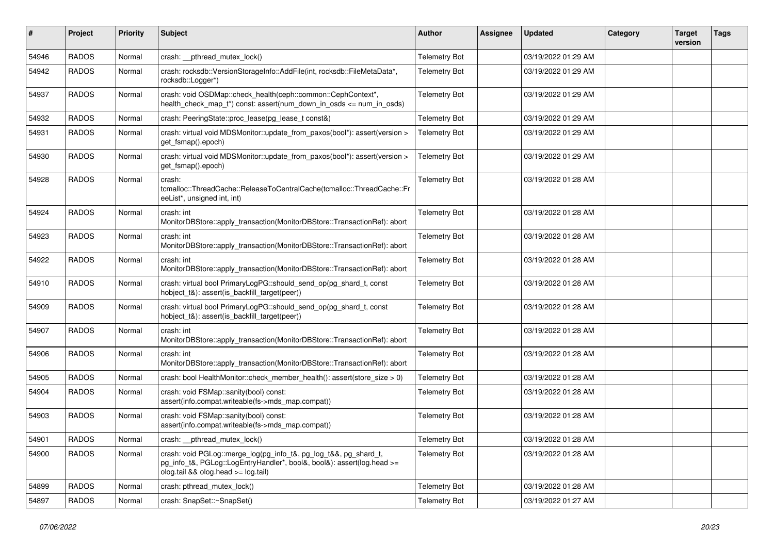| #     | Project      | <b>Priority</b> | <b>Subject</b>                                                                                                                                                                    | Author               | Assignee | <b>Updated</b>      | Category | <b>Target</b><br>version | <b>Tags</b> |
|-------|--------------|-----------------|-----------------------------------------------------------------------------------------------------------------------------------------------------------------------------------|----------------------|----------|---------------------|----------|--------------------------|-------------|
| 54946 | <b>RADOS</b> | Normal          | crash: __pthread_mutex_lock()                                                                                                                                                     | <b>Telemetry Bot</b> |          | 03/19/2022 01:29 AM |          |                          |             |
| 54942 | <b>RADOS</b> | Normal          | crash: rocksdb::VersionStorageInfo::AddFile(int, rocksdb::FileMetaData*,<br>rocksdb::Logger*)                                                                                     | <b>Telemetry Bot</b> |          | 03/19/2022 01:29 AM |          |                          |             |
| 54937 | <b>RADOS</b> | Normal          | crash: void OSDMap::check_health(ceph::common::CephContext*,<br>health_check_map_t*) const: assert(num_down_in_osds <= num_in_osds)                                               | <b>Telemetry Bot</b> |          | 03/19/2022 01:29 AM |          |                          |             |
| 54932 | <b>RADOS</b> | Normal          | crash: PeeringState::proc_lease(pg_lease_t const&)                                                                                                                                | <b>Telemetry Bot</b> |          | 03/19/2022 01:29 AM |          |                          |             |
| 54931 | <b>RADOS</b> | Normal          | crash: virtual void MDSMonitor::update_from_paxos(bool*): assert(version ><br>get_fsmap().epoch)                                                                                  | <b>Telemetry Bot</b> |          | 03/19/2022 01:29 AM |          |                          |             |
| 54930 | <b>RADOS</b> | Normal          | crash: virtual void MDSMonitor::update_from_paxos(bool*): assert(version ><br>get_fsmap().epoch)                                                                                  | <b>Telemetry Bot</b> |          | 03/19/2022 01:29 AM |          |                          |             |
| 54928 | <b>RADOS</b> | Normal          | crash:<br>tcmalloc::ThreadCache::ReleaseToCentralCache(tcmalloc::ThreadCache::Fr<br>eeList*, unsigned int, int)                                                                   | <b>Telemetry Bot</b> |          | 03/19/2022 01:28 AM |          |                          |             |
| 54924 | <b>RADOS</b> | Normal          | crash: int<br>MonitorDBStore::apply_transaction(MonitorDBStore::TransactionRef): abort                                                                                            | <b>Telemetry Bot</b> |          | 03/19/2022 01:28 AM |          |                          |             |
| 54923 | <b>RADOS</b> | Normal          | crash: int<br>MonitorDBStore::apply_transaction(MonitorDBStore::TransactionRef): abort                                                                                            | <b>Telemetry Bot</b> |          | 03/19/2022 01:28 AM |          |                          |             |
| 54922 | <b>RADOS</b> | Normal          | crash: int<br>MonitorDBStore::apply transaction(MonitorDBStore::TransactionRef): abort                                                                                            | <b>Telemetry Bot</b> |          | 03/19/2022 01:28 AM |          |                          |             |
| 54910 | <b>RADOS</b> | Normal          | crash: virtual bool PrimaryLogPG::should_send_op(pg_shard_t, const<br>hobject_t&): assert(is_backfill_target(peer))                                                               | <b>Telemetry Bot</b> |          | 03/19/2022 01:28 AM |          |                          |             |
| 54909 | <b>RADOS</b> | Normal          | crash: virtual bool PrimaryLogPG::should_send_op(pg_shard_t, const<br>hobject_t&): assert(is_backfill_target(peer))                                                               | <b>Telemetry Bot</b> |          | 03/19/2022 01:28 AM |          |                          |             |
| 54907 | <b>RADOS</b> | Normal          | crash: int<br>MonitorDBStore::apply_transaction(MonitorDBStore::TransactionRef): abort                                                                                            | <b>Telemetry Bot</b> |          | 03/19/2022 01:28 AM |          |                          |             |
| 54906 | <b>RADOS</b> | Normal          | crash: int<br>MonitorDBStore::apply_transaction(MonitorDBStore::TransactionRef): abort                                                                                            | <b>Telemetry Bot</b> |          | 03/19/2022 01:28 AM |          |                          |             |
| 54905 | <b>RADOS</b> | Normal          | crash: bool HealthMonitor::check member health(): assert(store size $> 0$ )                                                                                                       | <b>Telemetry Bot</b> |          | 03/19/2022 01:28 AM |          |                          |             |
| 54904 | <b>RADOS</b> | Normal          | crash: void FSMap::sanity(bool) const:<br>assert(info.compat.writeable(fs->mds_map.compat))                                                                                       | <b>Telemetry Bot</b> |          | 03/19/2022 01:28 AM |          |                          |             |
| 54903 | <b>RADOS</b> | Normal          | crash: void FSMap::sanity(bool) const:<br>assert(info.compat.writeable(fs->mds_map.compat))                                                                                       | <b>Telemetry Bot</b> |          | 03/19/2022 01:28 AM |          |                          |             |
| 54901 | <b>RADOS</b> | Normal          | crash: _pthread_mutex_lock()                                                                                                                                                      | <b>Telemetry Bot</b> |          | 03/19/2022 01:28 AM |          |                          |             |
| 54900 | <b>RADOS</b> | Normal          | crash: void PGLog::merge_log(pg_info_t&, pg_log_t&&, pg_shard_t,<br>pg_info_t&, PGLog::LogEntryHandler*, bool&, bool&): assert(log.head >=<br>olog.tail && olog.head >= log.tail) | <b>Telemetry Bot</b> |          | 03/19/2022 01:28 AM |          |                          |             |
| 54899 | <b>RADOS</b> | Normal          | crash: pthread mutex lock()                                                                                                                                                       | <b>Telemetry Bot</b> |          | 03/19/2022 01:28 AM |          |                          |             |
| 54897 | <b>RADOS</b> | Normal          | crash: SnapSet::~SnapSet()                                                                                                                                                        | <b>Telemetry Bot</b> |          | 03/19/2022 01:27 AM |          |                          |             |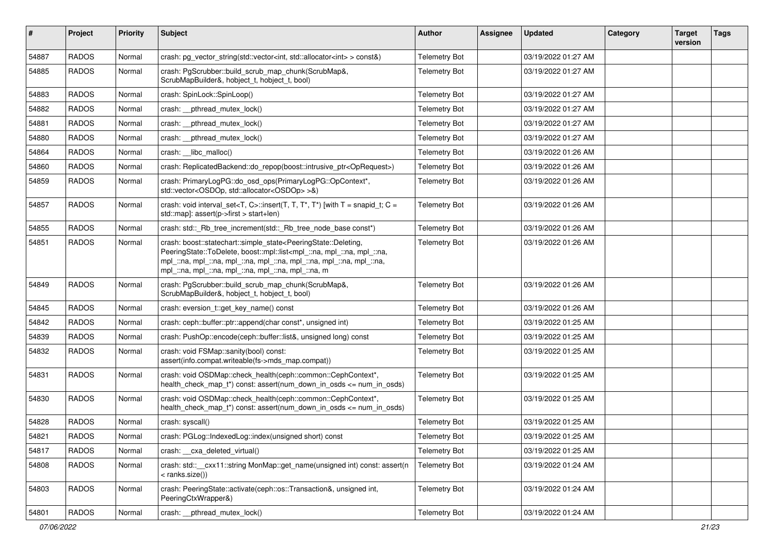| $\sharp$ | Project      | <b>Priority</b> | <b>Subject</b>                                                                                                                                                                                                                                                                                                            | <b>Author</b>        | Assignee | <b>Updated</b>      | Category | <b>Target</b><br>version | <b>Tags</b> |
|----------|--------------|-----------------|---------------------------------------------------------------------------------------------------------------------------------------------------------------------------------------------------------------------------------------------------------------------------------------------------------------------------|----------------------|----------|---------------------|----------|--------------------------|-------------|
| 54887    | <b>RADOS</b> | Normal          | crash: pg_vector_string(std::vector <int, std::allocator<int=""> &gt; const&amp;)</int,>                                                                                                                                                                                                                                  | <b>Telemetry Bot</b> |          | 03/19/2022 01:27 AM |          |                          |             |
| 54885    | <b>RADOS</b> | Normal          | crash: PgScrubber::build_scrub_map_chunk(ScrubMap&,<br>ScrubMapBuilder&, hobject_t, hobject_t, bool)                                                                                                                                                                                                                      | <b>Telemetry Bot</b> |          | 03/19/2022 01:27 AM |          |                          |             |
| 54883    | <b>RADOS</b> | Normal          | crash: SpinLock::SpinLoop()                                                                                                                                                                                                                                                                                               | <b>Telemetry Bot</b> |          | 03/19/2022 01:27 AM |          |                          |             |
| 54882    | <b>RADOS</b> | Normal          | crash: pthread mutex lock()                                                                                                                                                                                                                                                                                               | <b>Telemetry Bot</b> |          | 03/19/2022 01:27 AM |          |                          |             |
| 54881    | <b>RADOS</b> | Normal          | crash: _pthread_mutex_lock()                                                                                                                                                                                                                                                                                              | <b>Telemetry Bot</b> |          | 03/19/2022 01:27 AM |          |                          |             |
| 54880    | <b>RADOS</b> | Normal          | crash: pthread mutex lock()                                                                                                                                                                                                                                                                                               | <b>Telemetry Bot</b> |          | 03/19/2022 01:27 AM |          |                          |             |
| 54864    | <b>RADOS</b> | Normal          | crash: libc_malloc()                                                                                                                                                                                                                                                                                                      | <b>Telemetry Bot</b> |          | 03/19/2022 01:26 AM |          |                          |             |
| 54860    | <b>RADOS</b> | Normal          | crash: ReplicatedBackend::do_repop(boost::intrusive_ptr <oprequest>)</oprequest>                                                                                                                                                                                                                                          | <b>Telemetry Bot</b> |          | 03/19/2022 01:26 AM |          |                          |             |
| 54859    | <b>RADOS</b> | Normal          | crash: PrimaryLogPG::do_osd_ops(PrimaryLogPG::OpContext*,<br>std::vector <osdop, std::allocator<osdop=""> &gt;&amp;)</osdop,>                                                                                                                                                                                             | <b>Telemetry Bot</b> |          | 03/19/2022 01:26 AM |          |                          |             |
| 54857    | <b>RADOS</b> | Normal          | crash: void interval_set <t, c="">::insert(T, T, T*, T*) [with T = snapid_t; C =<br/>std::map]: assert(p-&gt;first &gt; start+len)</t,>                                                                                                                                                                                   | <b>Telemetry Bot</b> |          | 03/19/2022 01:26 AM |          |                          |             |
| 54855    | <b>RADOS</b> | Normal          | crash: std::_Rb_tree_increment(std::_Rb_tree_node_base const*)                                                                                                                                                                                                                                                            | <b>Telemetry Bot</b> |          | 03/19/2022 01:26 AM |          |                          |             |
| 54851    | <b>RADOS</b> | Normal          | crash: boost::statechart::simple_state <peeringstate::deleting,<br>PeeringState::ToDelete, boost::mpl::list<mpl_::na, mpl_::na,="" mpl_::na,<br="">mpl_::na, mpl_::na, mpl_::na, mpl_::na, mpl_::na, mpl_::na, mpl_::na,<br/>mpl_::na, mpl_::na, mpl_::na, mpl_::na, mpl_::na, m</mpl_::na,></peeringstate::deleting,<br> | <b>Telemetry Bot</b> |          | 03/19/2022 01:26 AM |          |                          |             |
| 54849    | <b>RADOS</b> | Normal          | crash: PgScrubber::build_scrub_map_chunk(ScrubMap&,<br>ScrubMapBuilder&, hobject_t, hobject_t, bool)                                                                                                                                                                                                                      | <b>Telemetry Bot</b> |          | 03/19/2022 01:26 AM |          |                          |             |
| 54845    | <b>RADOS</b> | Normal          | crash: eversion_t::get_key_name() const                                                                                                                                                                                                                                                                                   | <b>Telemetry Bot</b> |          | 03/19/2022 01:26 AM |          |                          |             |
| 54842    | <b>RADOS</b> | Normal          | crash: ceph::buffer::ptr::append(char const*, unsigned int)                                                                                                                                                                                                                                                               | <b>Telemetry Bot</b> |          | 03/19/2022 01:25 AM |          |                          |             |
| 54839    | <b>RADOS</b> | Normal          | crash: PushOp::encode(ceph::buffer::list&, unsigned long) const                                                                                                                                                                                                                                                           | <b>Telemetry Bot</b> |          | 03/19/2022 01:25 AM |          |                          |             |
| 54832    | <b>RADOS</b> | Normal          | crash: void FSMap::sanity(bool) const:<br>assert(info.compat.writeable(fs->mds_map.compat))                                                                                                                                                                                                                               | <b>Telemetry Bot</b> |          | 03/19/2022 01:25 AM |          |                          |             |
| 54831    | <b>RADOS</b> | Normal          | crash: void OSDMap::check_health(ceph::common::CephContext*,<br>health_check_map_t*) const: assert(num_down_in_osds <= num_in_osds)                                                                                                                                                                                       | <b>Telemetry Bot</b> |          | 03/19/2022 01:25 AM |          |                          |             |
| 54830    | <b>RADOS</b> | Normal          | crash: void OSDMap::check_health(ceph::common::CephContext*,<br>health_check_map_t*) const: assert(num_down_in_osds <= num_in_osds)                                                                                                                                                                                       | <b>Telemetry Bot</b> |          | 03/19/2022 01:25 AM |          |                          |             |
| 54828    | <b>RADOS</b> | Normal          | crash: syscall()                                                                                                                                                                                                                                                                                                          | <b>Telemetry Bot</b> |          | 03/19/2022 01:25 AM |          |                          |             |
| 54821    | <b>RADOS</b> | Normal          | crash: PGLog::IndexedLog::index(unsigned short) const                                                                                                                                                                                                                                                                     | <b>Telemetry Bot</b> |          | 03/19/2022 01:25 AM |          |                          |             |
| 54817    | <b>RADOS</b> | Normal          | crash: cxa deleted virtual()                                                                                                                                                                                                                                                                                              | <b>Telemetry Bot</b> |          | 03/19/2022 01:25 AM |          |                          |             |
| 54808    | <b>RADOS</b> | Normal          | crash: std::__cxx11::string MonMap::get_name(unsigned int) const: assert(n<br>$<$ ranks.size())                                                                                                                                                                                                                           | <b>Telemetry Bot</b> |          | 03/19/2022 01:24 AM |          |                          |             |
| 54803    | <b>RADOS</b> | Normal          | crash: PeeringState::activate(ceph::os::Transaction&, unsigned int,<br>PeeringCtxWrapper&)                                                                                                                                                                                                                                | <b>Telemetry Bot</b> |          | 03/19/2022 01:24 AM |          |                          |             |
| 54801    | RADOS        | Normal          | crash: _pthread_mutex_lock()                                                                                                                                                                                                                                                                                              | <b>Telemetry Bot</b> |          | 03/19/2022 01:24 AM |          |                          |             |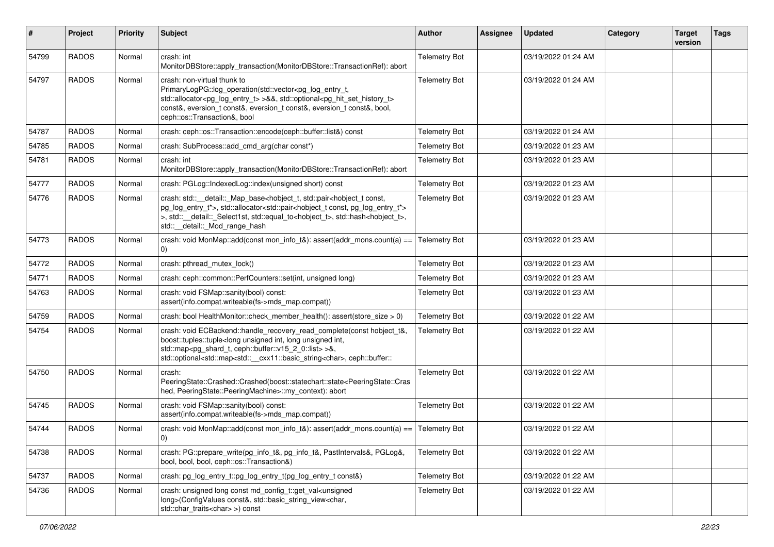| #     | Project      | <b>Priority</b> | <b>Subject</b>                                                                                                                                                                                                                                                                                                                                                             | <b>Author</b>        | <b>Assignee</b> | <b>Updated</b>      | Category | <b>Target</b><br>version | <b>Tags</b> |
|-------|--------------|-----------------|----------------------------------------------------------------------------------------------------------------------------------------------------------------------------------------------------------------------------------------------------------------------------------------------------------------------------------------------------------------------------|----------------------|-----------------|---------------------|----------|--------------------------|-------------|
| 54799 | <b>RADOS</b> | Normal          | crash: int<br>MonitorDBStore::apply_transaction(MonitorDBStore::TransactionRef): abort                                                                                                                                                                                                                                                                                     | <b>Telemetry Bot</b> |                 | 03/19/2022 01:24 AM |          |                          |             |
| 54797 | <b>RADOS</b> | Normal          | crash: non-virtual thunk to<br>PrimaryLogPG::log_operation(std::vector <pg_log_entry_t,<br>std::allocator<pg_log_entry_t> &gt;&amp;&amp;, std::optional<pg_hit_set_history_t><br/>const&amp;, eversion_t const&amp;, eversion_t const&amp;, eversion_t const&amp;, bool,<br/>ceph::os::Transaction&amp;, bool</pg_hit_set_history_t></pg_log_entry_t></pg_log_entry_t,<br> | <b>Telemetry Bot</b> |                 | 03/19/2022 01:24 AM |          |                          |             |
| 54787 | <b>RADOS</b> | Normal          | crash: ceph::os::Transaction::encode(ceph::buffer::list&) const                                                                                                                                                                                                                                                                                                            | <b>Telemetry Bot</b> |                 | 03/19/2022 01:24 AM |          |                          |             |
| 54785 | <b>RADOS</b> | Normal          | crash: SubProcess::add_cmd_arg(char const*)                                                                                                                                                                                                                                                                                                                                | <b>Telemetry Bot</b> |                 | 03/19/2022 01:23 AM |          |                          |             |
| 54781 | <b>RADOS</b> | Normal          | crash: int<br>MonitorDBStore::apply_transaction(MonitorDBStore::TransactionRef): abort                                                                                                                                                                                                                                                                                     | <b>Telemetry Bot</b> |                 | 03/19/2022 01:23 AM |          |                          |             |
| 54777 | <b>RADOS</b> | Normal          | crash: PGLog::IndexedLog::index(unsigned short) const                                                                                                                                                                                                                                                                                                                      | <b>Telemetry Bot</b> |                 | 03/19/2022 01:23 AM |          |                          |             |
| 54776 | <b>RADOS</b> | Normal          | crash: std::__detail::_Map_base <hobject_t, const,<br="" std::pair<hobject_t="">pg_log_entry_t*&gt;, std::allocator<std::pair<hobject_t const,="" pg_log_entry_t*=""><br/>&gt;, std:: detail:: Select1st, std::equal_to<hobject_t>, std::hash<hobject_t>,<br/>std::_detail::_Mod_range_hash</hobject_t></hobject_t></std::pair<hobject_t></hobject_t,>                     | <b>Telemetry Bot</b> |                 | 03/19/2022 01:23 AM |          |                          |             |
| 54773 | <b>RADOS</b> | Normal          | crash: void MonMap::add(const mon_info_t&): assert(addr_mons.count(a) ==<br>(0)                                                                                                                                                                                                                                                                                            | <b>Telemetry Bot</b> |                 | 03/19/2022 01:23 AM |          |                          |             |
| 54772 | <b>RADOS</b> | Normal          | crash: pthread mutex lock()                                                                                                                                                                                                                                                                                                                                                | <b>Telemetry Bot</b> |                 | 03/19/2022 01:23 AM |          |                          |             |
| 54771 | <b>RADOS</b> | Normal          | crash: ceph::common::PerfCounters::set(int, unsigned long)                                                                                                                                                                                                                                                                                                                 | <b>Telemetry Bot</b> |                 | 03/19/2022 01:23 AM |          |                          |             |
| 54763 | <b>RADOS</b> | Normal          | crash: void FSMap::sanity(bool) const:<br>assert(info.compat.writeable(fs->mds_map.compat))                                                                                                                                                                                                                                                                                | <b>Telemetry Bot</b> |                 | 03/19/2022 01:23 AM |          |                          |             |
| 54759 | <b>RADOS</b> | Normal          | crash: bool HealthMonitor::check_member_health(): assert(store_size > 0)                                                                                                                                                                                                                                                                                                   | <b>Telemetry Bot</b> |                 | 03/19/2022 01:22 AM |          |                          |             |
| 54754 | <b>RADOS</b> | Normal          | crash: void ECBackend::handle_recovery_read_complete(const hobject_t&,<br>boost::tuples::tuple <long int,="" int,<br="" long="" unsigned="">std::map<pg_shard_t, ceph::buffer::v15_2_0::list="">&gt;&amp;,<br/>std::optional<std::map<std::__cxx11::basic_string<char>, ceph::buffer::</std::map<std::__cxx11::basic_string<char></pg_shard_t,></long>                     | <b>Telemetry Bot</b> |                 | 03/19/2022 01:22 AM |          |                          |             |
| 54750 | <b>RADOS</b> | Normal          | crash:<br>PeeringState::Crashed::Crashed(boost::statechart::state <peeringstate::cras<br>hed, PeeringState::PeeringMachine&gt;::my_context): abort</peeringstate::cras<br>                                                                                                                                                                                                 | <b>Telemetry Bot</b> |                 | 03/19/2022 01:22 AM |          |                          |             |
| 54745 | <b>RADOS</b> | Normal          | crash: void FSMap::sanity(bool) const:<br>assert(info.compat.writeable(fs->mds_map.compat))                                                                                                                                                                                                                                                                                | <b>Telemetry Bot</b> |                 | 03/19/2022 01:22 AM |          |                          |             |
| 54744 | <b>RADOS</b> | Normal          | crash: void MonMap::add(const mon_info_t&): assert(addr_mons.count(a) ==                                                                                                                                                                                                                                                                                                   | Telemetry Bot        |                 | 03/19/2022 01:22 AM |          |                          |             |
| 54738 | <b>RADOS</b> | Normal          | crash: PG::prepare_write(pg_info_t&, pg_info_t&, PastIntervals&, PGLog&,<br>bool, bool, bool, ceph::os::Transaction&)                                                                                                                                                                                                                                                      | <b>Telemetry Bot</b> |                 | 03/19/2022 01:22 AM |          |                          |             |
| 54737 | <b>RADOS</b> | Normal          | crash: pg_log_entry_t::pg_log_entry_t(pg_log_entry_t const&)                                                                                                                                                                                                                                                                                                               | <b>Telemetry Bot</b> |                 | 03/19/2022 01:22 AM |          |                          |             |
| 54736 | <b>RADOS</b> | Normal          | crash: unsigned long const md_config_t::get_val <unsigned<br>long&gt;(ConfigValues const&amp;, std::basic_string_view<char,<br>std::char_traits<char>&gt;) const</char></char,<br></unsigned<br>                                                                                                                                                                           | <b>Telemetry Bot</b> |                 | 03/19/2022 01:22 AM |          |                          |             |